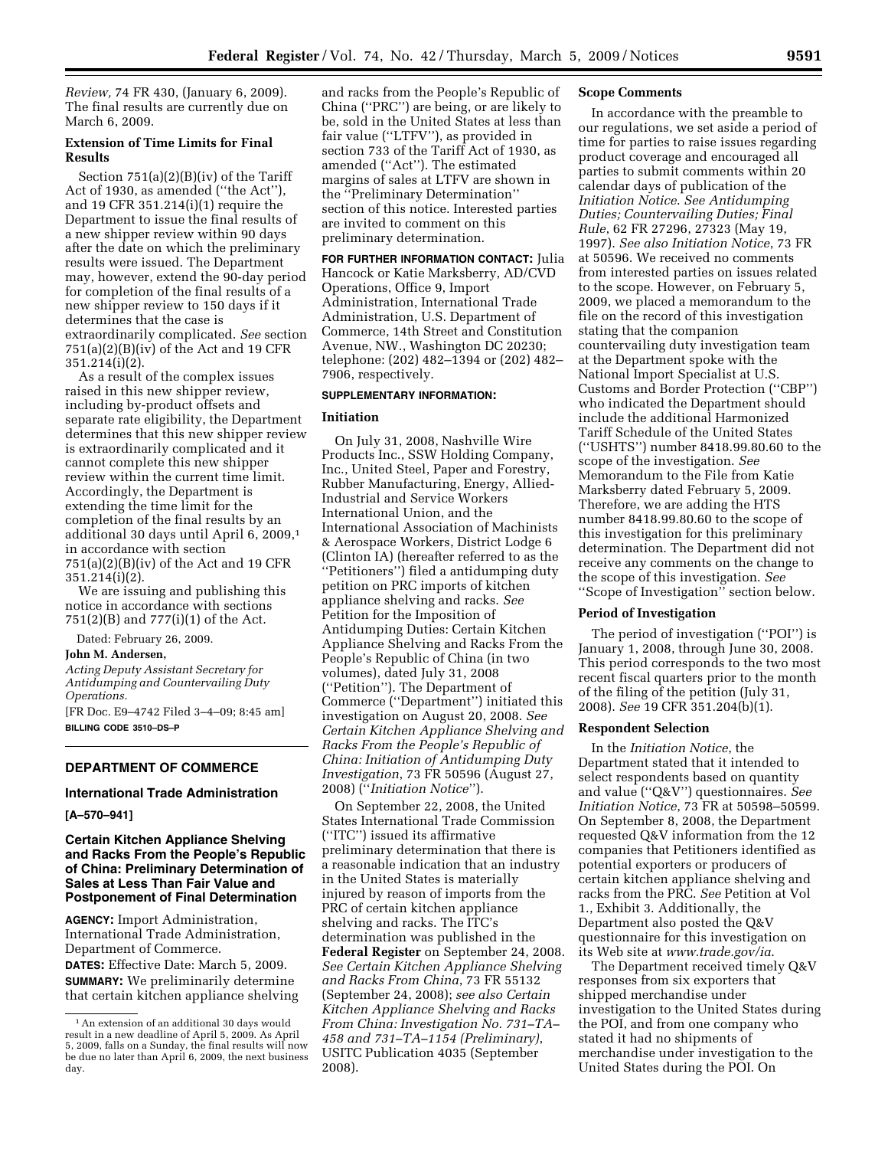*Review,* 74 FR 430, (January 6, 2009). The final results are currently due on March 6, 2009.

## **Extension of Time Limits for Final Results**

Section 751(a)(2)(B)(iv) of the Tariff Act of 1930, as amended (''the Act''), and 19 CFR 351.214(i)(1) require the Department to issue the final results of a new shipper review within 90 days after the date on which the preliminary results were issued. The Department may, however, extend the 90-day period for completion of the final results of a new shipper review to 150 days if it determines that the case is extraordinarily complicated. *See* section  $751(a)(2)(B)(iv)$  of the Act and 19 CFR 351.214(i)(2).

As a result of the complex issues raised in this new shipper review, including by-product offsets and separate rate eligibility, the Department determines that this new shipper review is extraordinarily complicated and it cannot complete this new shipper review within the current time limit. Accordingly, the Department is extending the time limit for the completion of the final results by an additional 30 days until April 6, 2009,1 in accordance with section  $751(a)(2)(B)(iv)$  of the Act and 19 CFR 351.214(i)(2).

We are issuing and publishing this notice in accordance with sections 751(2)(B) and 777(i)(1) of the Act.

Dated: February 26, 2009.

#### **John M. Andersen,**

*Acting Deputy Assistant Secretary for Antidumping and Countervailing Duty Operations.* 

[FR Doc. E9–4742 Filed 3–4–09; 8:45 am] **BILLING CODE 3510–DS–P** 

## **DEPARTMENT OF COMMERCE**

## **International Trade Administration**

#### **[A–570–941]**

## **Certain Kitchen Appliance Shelving and Racks From the People's Republic of China: Preliminary Determination of Sales at Less Than Fair Value and Postponement of Final Determination**

**AGENCY:** Import Administration, International Trade Administration, Department of Commerce.

**DATES:** Effective Date: March 5, 2009. **SUMMARY:** We preliminarily determine that certain kitchen appliance shelving

and racks from the People's Republic of China (''PRC'') are being, or are likely to be, sold in the United States at less than fair value (''LTFV''), as provided in section 733 of the Tariff Act of 1930, as amended (''Act''). The estimated margins of sales at LTFV are shown in the ''Preliminary Determination'' section of this notice. Interested parties are invited to comment on this preliminary determination.

**FOR FURTHER INFORMATION CONTACT:** Julia Hancock or Katie Marksberry, AD/CVD Operations, Office 9, Import Administration, International Trade Administration, U.S. Department of Commerce, 14th Street and Constitution Avenue, NW., Washington DC 20230; telephone: (202) 482–1394 or (202) 482– 7906, respectively.

## **SUPPLEMENTARY INFORMATION:**

#### **Initiation**

On July 31, 2008, Nashville Wire Products Inc., SSW Holding Company, Inc., United Steel, Paper and Forestry, Rubber Manufacturing, Energy, Allied-Industrial and Service Workers International Union, and the International Association of Machinists & Aerospace Workers, District Lodge 6 (Clinton IA) (hereafter referred to as the ''Petitioners'') filed a antidumping duty petition on PRC imports of kitchen appliance shelving and racks. *See*  Petition for the Imposition of Antidumping Duties: Certain Kitchen Appliance Shelving and Racks From the People's Republic of China (in two volumes), dated July 31, 2008 (''Petition''). The Department of Commerce (''Department'') initiated this investigation on August 20, 2008. *See Certain Kitchen Appliance Shelving and Racks From the People's Republic of China: Initiation of Antidumping Duty Investigation*, 73 FR 50596 (August 27, 2008) (''*Initiation Notice*'').

On September 22, 2008, the United States International Trade Commission (''ITC'') issued its affirmative preliminary determination that there is a reasonable indication that an industry in the United States is materially injured by reason of imports from the PRC of certain kitchen appliance shelving and racks. The ITC's determination was published in the **Federal Register** on September 24, 2008. *See Certain Kitchen Appliance Shelving and Racks From China*, 73 FR 55132 (September 24, 2008); *see also Certain Kitchen Appliance Shelving and Racks From China: Investigation No. 731–TA– 458 and 731–TA–1154 (Preliminary)*, USITC Publication 4035 (September 2008).

### **Scope Comments**

In accordance with the preamble to our regulations, we set aside a period of time for parties to raise issues regarding product coverage and encouraged all parties to submit comments within 20 calendar days of publication of the *Initiation Notice*. *See Antidumping Duties; Countervailing Duties; Final Rule*, 62 FR 27296, 27323 (May 19, 1997). *See also Initiation Notice*, 73 FR at 50596. We received no comments from interested parties on issues related to the scope. However, on February 5, 2009, we placed a memorandum to the file on the record of this investigation stating that the companion countervailing duty investigation team at the Department spoke with the National Import Specialist at U.S. Customs and Border Protection (''CBP'') who indicated the Department should include the additional Harmonized Tariff Schedule of the United States (''USHTS'') number 8418.99.80.60 to the scope of the investigation. *See*  Memorandum to the File from Katie Marksberry dated February 5, 2009. Therefore, we are adding the HTS number 8418.99.80.60 to the scope of this investigation for this preliminary determination. The Department did not receive any comments on the change to the scope of this investigation. *See*  ''Scope of Investigation'' section below.

#### **Period of Investigation**

The period of investigation (''POI'') is January 1, 2008, through June 30, 2008. This period corresponds to the two most recent fiscal quarters prior to the month of the filing of the petition (July 31, 2008). *See* 19 CFR 351.204(b)(1).

#### **Respondent Selection**

In the *Initiation Notice*, the Department stated that it intended to select respondents based on quantity and value (''Q&V'') questionnaires. *See Initiation Notice*, 73 FR at 50598–50599. On September 8, 2008, the Department requested Q&V information from the 12 companies that Petitioners identified as potential exporters or producers of certain kitchen appliance shelving and racks from the PRC. *See* Petition at Vol 1., Exhibit 3. Additionally, the Department also posted the Q&V questionnaire for this investigation on its Web site at *www.trade.gov/ia*.

The Department received timely Q&V responses from six exporters that shipped merchandise under investigation to the United States during the POI, and from one company who stated it had no shipments of merchandise under investigation to the United States during the POI. On

<sup>&</sup>lt;sup>1</sup> An extension of an additional 30 days would result in a new deadline of April 5, 2009. As April 5, 2009, falls on a Sunday, the final results will now be due no later than April 6, 2009, the next business day.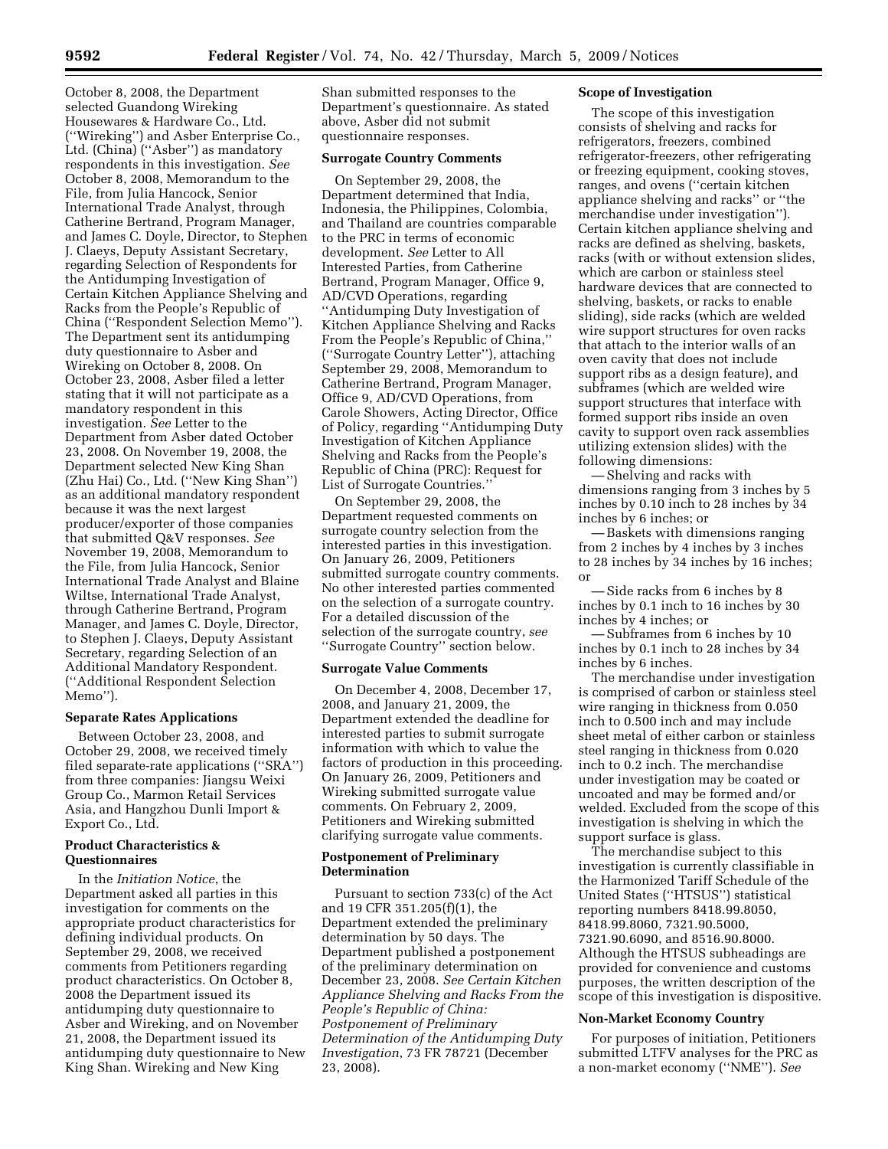October 8, 2008, the Department selected Guandong Wireking Housewares & Hardware Co., Ltd. (''Wireking'') and Asber Enterprise Co., Ltd. (China) (''Asber'') as mandatory respondents in this investigation. *See*  October 8, 2008, Memorandum to the File, from Julia Hancock, Senior International Trade Analyst, through Catherine Bertrand, Program Manager, and James C. Doyle, Director, to Stephen J. Claeys, Deputy Assistant Secretary, regarding Selection of Respondents for the Antidumping Investigation of Certain Kitchen Appliance Shelving and Racks from the People's Republic of China (''Respondent Selection Memo''). The Department sent its antidumping duty questionnaire to Asber and Wireking on October 8, 2008. On October 23, 2008, Asber filed a letter stating that it will not participate as a mandatory respondent in this investigation. *See* Letter to the Department from Asber dated October 23, 2008. On November 19, 2008, the Department selected New King Shan (Zhu Hai) Co., Ltd. (''New King Shan'') as an additional mandatory respondent because it was the next largest producer/exporter of those companies that submitted Q&V responses. *See*  November 19, 2008, Memorandum to the File, from Julia Hancock, Senior International Trade Analyst and Blaine Wiltse, International Trade Analyst, through Catherine Bertrand, Program Manager, and James C. Doyle, Director, to Stephen J. Claeys, Deputy Assistant Secretary, regarding Selection of an Additional Mandatory Respondent. (''Additional Respondent Selection Memo'').

# **Separate Rates Applications**

Between October 23, 2008, and October 29, 2008, we received timely filed separate-rate applications (''SRA'') from three companies: Jiangsu Weixi Group Co., Marmon Retail Services Asia, and Hangzhou Dunli Import & Export Co., Ltd.

# **Product Characteristics & Questionnaires**

In the *Initiation Notice*, the Department asked all parties in this investigation for comments on the appropriate product characteristics for defining individual products. On September 29, 2008, we received comments from Petitioners regarding product characteristics. On October 8, 2008 the Department issued its antidumping duty questionnaire to Asber and Wireking, and on November 21, 2008, the Department issued its antidumping duty questionnaire to New King Shan. Wireking and New King

Shan submitted responses to the Department's questionnaire. As stated above, Asber did not submit questionnaire responses.

### **Surrogate Country Comments**

On September 29, 2008, the Department determined that India, Indonesia, the Philippines, Colombia, and Thailand are countries comparable to the PRC in terms of economic development. *See* Letter to All Interested Parties, from Catherine Bertrand, Program Manager, Office 9, AD/CVD Operations, regarding ''Antidumping Duty Investigation of Kitchen Appliance Shelving and Racks From the People's Republic of China,'' (''Surrogate Country Letter''), attaching September 29, 2008, Memorandum to Catherine Bertrand, Program Manager, Office 9, AD/CVD Operations, from Carole Showers, Acting Director, Office of Policy, regarding ''Antidumping Duty Investigation of Kitchen Appliance Shelving and Racks from the People's Republic of China (PRC): Request for List of Surrogate Countries.''

On September 29, 2008, the Department requested comments on surrogate country selection from the interested parties in this investigation. On January 26, 2009, Petitioners submitted surrogate country comments. No other interested parties commented on the selection of a surrogate country. For a detailed discussion of the selection of the surrogate country, *see*  ''Surrogate Country'' section below.

## **Surrogate Value Comments**

On December 4, 2008, December 17, 2008, and January 21, 2009, the Department extended the deadline for interested parties to submit surrogate information with which to value the factors of production in this proceeding. On January 26, 2009, Petitioners and Wireking submitted surrogate value comments. On February 2, 2009, Petitioners and Wireking submitted clarifying surrogate value comments.

### **Postponement of Preliminary Determination**

Pursuant to section 733(c) of the Act and 19 CFR 351.205(f)(1), the Department extended the preliminary determination by 50 days. The Department published a postponement of the preliminary determination on December 23, 2008. *See Certain Kitchen Appliance Shelving and Racks From the People's Republic of China: Postponement of Preliminary Determination of the Antidumping Duty Investigation*, 73 FR 78721 (December 23, 2008).

### **Scope of Investigation**

The scope of this investigation consists of shelving and racks for refrigerators, freezers, combined refrigerator-freezers, other refrigerating or freezing equipment, cooking stoves, ranges, and ovens (''certain kitchen appliance shelving and racks'' or ''the merchandise under investigation''). Certain kitchen appliance shelving and racks are defined as shelving, baskets, racks (with or without extension slides, which are carbon or stainless steel hardware devices that are connected to shelving, baskets, or racks to enable sliding), side racks (which are welded wire support structures for oven racks that attach to the interior walls of an oven cavity that does not include support ribs as a design feature), and subframes (which are welded wire support structures that interface with formed support ribs inside an oven cavity to support oven rack assemblies utilizing extension slides) with the following dimensions:

— Shelving and racks with dimensions ranging from 3 inches by 5 inches by 0.10 inch to 28 inches by 34 inches by 6 inches; or

— Baskets with dimensions ranging from 2 inches by 4 inches by 3 inches to 28 inches by 34 inches by 16 inches; or

— Side racks from 6 inches by 8 inches by 0.1 inch to 16 inches by 30 inches by 4 inches; or

— Subframes from 6 inches by 10 inches by 0.1 inch to 28 inches by 34 inches by 6 inches.

The merchandise under investigation is comprised of carbon or stainless steel wire ranging in thickness from 0.050 inch to 0.500 inch and may include sheet metal of either carbon or stainless steel ranging in thickness from 0.020 inch to 0.2 inch. The merchandise under investigation may be coated or uncoated and may be formed and/or welded. Excluded from the scope of this investigation is shelving in which the support surface is glass.

The merchandise subject to this investigation is currently classifiable in the Harmonized Tariff Schedule of the United States (''HTSUS'') statistical reporting numbers 8418.99.8050, 8418.99.8060, 7321.90.5000, 7321.90.6090, and 8516.90.8000. Although the HTSUS subheadings are provided for convenience and customs purposes, the written description of the scope of this investigation is dispositive.

## **Non-Market Economy Country**

For purposes of initiation, Petitioners submitted LTFV analyses for the PRC as a non-market economy (''NME''). *See*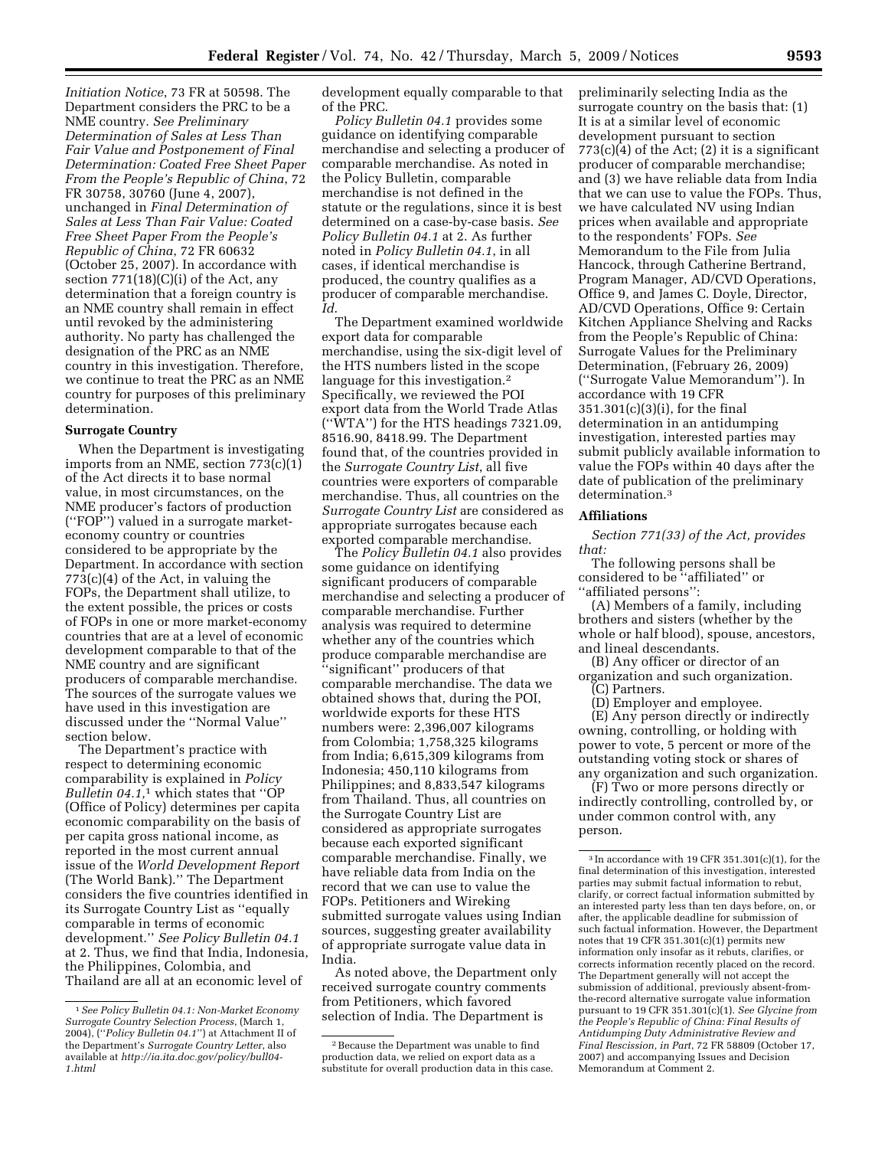*Initiation Notice*, 73 FR at 50598. The Department considers the PRC to be a NME country. *See Preliminary Determination of Sales at Less Than Fair Value and Postponement of Final Determination: Coated Free Sheet Paper From the People's Republic of China*, 72 FR 30758, 30760 (June 4, 2007), unchanged in *Final Determination of Sales at Less Than Fair Value: Coated Free Sheet Paper From the People's Republic of China*, 72 FR 60632 (October 25, 2007). In accordance with section  $771(18)(C)(i)$  of the Act, any determination that a foreign country is an NME country shall remain in effect until revoked by the administering authority. No party has challenged the designation of the PRC as an NME country in this investigation. Therefore, we continue to treat the PRC as an NME country for purposes of this preliminary determination.

#### **Surrogate Country**

When the Department is investigating imports from an NME, section 773(c)(1) of the Act directs it to base normal value, in most circumstances, on the NME producer's factors of production (''FOP'') valued in a surrogate marketeconomy country or countries considered to be appropriate by the Department. In accordance with section 773(c)(4) of the Act, in valuing the FOPs, the Department shall utilize, to the extent possible, the prices or costs of FOPs in one or more market-economy countries that are at a level of economic development comparable to that of the NME country and are significant producers of comparable merchandise. The sources of the surrogate values we have used in this investigation are discussed under the ''Normal Value'' section below.

The Department's practice with respect to determining economic comparability is explained in *Policy Bulletin 04.1,*1 which states that ''OP (Office of Policy) determines per capita economic comparability on the basis of per capita gross national income, as reported in the most current annual issue of the *World Development Report*  (The World Bank).'' The Department considers the five countries identified in its Surrogate Country List as ''equally comparable in terms of economic development.'' *See Policy Bulletin 04.1*  at 2. Thus, we find that India, Indonesia, the Philippines, Colombia, and Thailand are all at an economic level of

development equally comparable to that of the PRC.

*Policy Bulletin 04.1* provides some guidance on identifying comparable merchandise and selecting a producer of comparable merchandise. As noted in the Policy Bulletin, comparable merchandise is not defined in the statute or the regulations, since it is best determined on a case-by-case basis. *See Policy Bulletin 04.1* at 2. As further noted in *Policy Bulletin 04.1*, in all cases, if identical merchandise is produced, the country qualifies as a producer of comparable merchandise. *Id*.

The Department examined worldwide export data for comparable merchandise, using the six-digit level of the HTS numbers listed in the scope language for this investigation.<sup>2</sup> Specifically, we reviewed the POI export data from the World Trade Atlas (''WTA'') for the HTS headings 7321.09, 8516.90, 8418.99. The Department found that, of the countries provided in the *Surrogate Country List*, all five countries were exporters of comparable merchandise. Thus, all countries on the *Surrogate Country List* are considered as appropriate surrogates because each exported comparable merchandise.

The *Policy Bulletin 04.1* also provides some guidance on identifying significant producers of comparable merchandise and selecting a producer of comparable merchandise. Further analysis was required to determine whether any of the countries which produce comparable merchandise are ''significant'' producers of that comparable merchandise. The data we obtained shows that, during the POI, worldwide exports for these HTS numbers were: 2,396,007 kilograms from Colombia; 1,758,325 kilograms from India; 6,615,309 kilograms from Indonesia; 450,110 kilograms from Philippines; and 8,833,547 kilograms from Thailand. Thus, all countries on the Surrogate Country List are considered as appropriate surrogates because each exported significant comparable merchandise. Finally, we have reliable data from India on the record that we can use to value the FOPs. Petitioners and Wireking submitted surrogate values using Indian sources, suggesting greater availability of appropriate surrogate value data in India.

As noted above, the Department only received surrogate country comments from Petitioners, which favored selection of India. The Department is

preliminarily selecting India as the surrogate country on the basis that: (1) It is at a similar level of economic development pursuant to section  $773(c)(4)$  of the Act; (2) it is a significant producer of comparable merchandise; and (3) we have reliable data from India that we can use to value the FOPs. Thus, we have calculated NV using Indian prices when available and appropriate to the respondents' FOPs. *See*  Memorandum to the File from Julia Hancock, through Catherine Bertrand, Program Manager, AD/CVD Operations, Office 9, and James C. Doyle, Director, AD/CVD Operations, Office 9: Certain Kitchen Appliance Shelving and Racks from the People's Republic of China: Surrogate Values for the Preliminary Determination, (February 26, 2009) (''Surrogate Value Memorandum''). In accordance with 19 CFR 351.301(c)(3)(i), for the final determination in an antidumping investigation, interested parties may submit publicly available information to value the FOPs within 40 days after the date of publication of the preliminary determination.3

## **Affiliations**

*Section 771(33) of the Act, provides that:* 

The following persons shall be considered to be ''affiliated'' or ''affiliated persons'':

(A) Members of a family, including brothers and sisters (whether by the whole or half blood), spouse, ancestors, and lineal descendants.

(B) Any officer or director of an organization and such organization.

(C) Partners.

(D) Employer and employee.

(E) Any person directly or indirectly owning, controlling, or holding with power to vote, 5 percent or more of the outstanding voting stock or shares of any organization and such organization.

(F) Two or more persons directly or indirectly controlling, controlled by, or under common control with, any person.

<sup>1</sup>*See Policy Bulletin 04.1: Non-Market Economy Surrogate Country Selection Process*, (March 1, 2004), (''*Policy Bulletin 04.1*'') at Attachment II of the Department's *Surrogate Country Letter*, also available at *http://ia.ita.doc.gov/policy/bull04- 1.html* 

<sup>2</sup>Because the Department was unable to find production data, we relied on export data as a substitute for overall production data in this case.

<sup>3</sup> In accordance with 19 CFR 351.301(c)(1), for the final determination of this investigation, interested parties may submit factual information to rebut, clarify, or correct factual information submitted by an interested party less than ten days before, on, or after, the applicable deadline for submission of such factual information. However, the Department notes that 19 CFR 351.301(c)(1) permits new information only insofar as it rebuts, clarifies, or corrects information recently placed on the record. The Department generally will not accept the submission of additional, previously absent-fromthe-record alternative surrogate value information pursuant to 19 CFR 351.301(c)(1). *See Glycine from the People's Republic of China: Final Results of Antidumping Duty Administrative Review and Final Rescission, in Part*, 72 FR 58809 (October 17, 2007) and accompanying Issues and Decision Memorandum at Comment 2.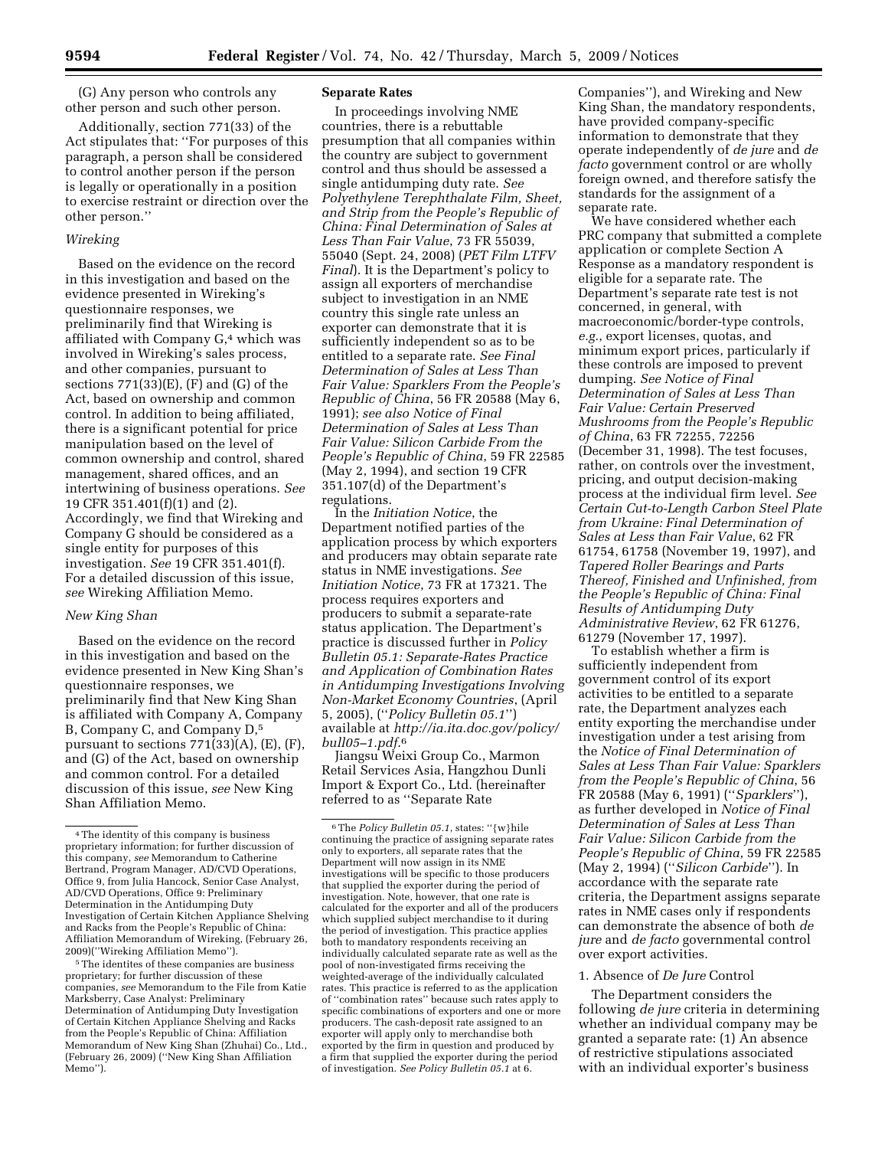(G) Any person who controls any other person and such other person.

Additionally, section 771(33) of the Act stipulates that: ''For purposes of this paragraph, a person shall be considered to control another person if the person is legally or operationally in a position to exercise restraint or direction over the other person.''

## *Wireking*

Based on the evidence on the record in this investigation and based on the evidence presented in Wireking's questionnaire responses, we preliminarily find that Wireking is affiliated with Company G,4 which was involved in Wireking's sales process, and other companies, pursuant to sections 771(33)(E), (F) and (G) of the Act, based on ownership and common control. In addition to being affiliated, there is a significant potential for price manipulation based on the level of common ownership and control, shared management, shared offices, and an intertwining of business operations. *See*  19 CFR 351.401(f)(1) and (2). Accordingly, we find that Wireking and Company G should be considered as a single entity for purposes of this investigation. *See* 19 CFR 351.401(f). For a detailed discussion of this issue, *see* Wireking Affiliation Memo.

### *New King Shan*

Based on the evidence on the record in this investigation and based on the evidence presented in New King Shan's questionnaire responses, we preliminarily find that New King Shan is affiliated with Company A, Company B, Company C, and Company D,5 pursuant to sections 771(33)(A), (E), (F), and (G) of the Act, based on ownership and common control. For a detailed discussion of this issue, *see* New King Shan Affiliation Memo.

5The identites of these companies are business proprietary; for further discussion of these companies, *see* Memorandum to the File from Katie Marksberry, Case Analyst: Preliminary Determination of Antidumping Duty Investigation of Certain Kitchen Appliance Shelving and Racks from the People's Republic of China: Affiliation Memorandum of New King Shan (Zhuhai) Co., Ltd., (February 26, 2009) (''New King Shan Affiliation Memo'').

## **Separate Rates**

In proceedings involving NME countries, there is a rebuttable presumption that all companies within the country are subject to government control and thus should be assessed a single antidumping duty rate. *See Polyethylene Terephthalate Film, Sheet, and Strip from the People's Republic of China: Final Determination of Sales at Less Than Fair Value*, 73 FR 55039, 55040 (Sept. 24, 2008) (*PET Film LTFV Final*). It is the Department's policy to assign all exporters of merchandise subject to investigation in an NME country this single rate unless an exporter can demonstrate that it is sufficiently independent so as to be entitled to a separate rate. *See Final Determination of Sales at Less Than Fair Value: Sparklers From the People's Republic of China*, 56 FR 20588 (May 6, 1991); *see also Notice of Final Determination of Sales at Less Than Fair Value: Silicon Carbide From the People's Republic of China*, 59 FR 22585 (May 2, 1994), and section 19 CFR 351.107(d) of the Department's regulations.

In the *Initiation Notice*, the Department notified parties of the application process by which exporters and producers may obtain separate rate status in NME investigations. *See Initiation Notice*, 73 FR at 17321. The process requires exporters and producers to submit a separate-rate status application. The Department's practice is discussed further in *Policy Bulletin 05.1: Separate-Rates Practice and Application of Combination Rates in Antidumping Investigations Involving Non-Market Economy Countries*, (April 5, 2005), (''*Policy Bulletin 05.1*'') available at *http://ia.ita.doc.gov/policy/ bull05–1.pdf*.6

Jiangsu Weixi Group Co., Marmon Retail Services Asia, Hangzhou Dunli Import & Export Co., Ltd. (hereinafter referred to as ''Separate Rate

Companies''), and Wireking and New King Shan, the mandatory respondents, have provided company-specific information to demonstrate that they operate independently of *de jure* and *de facto* government control or are wholly foreign owned, and therefore satisfy the standards for the assignment of a separate rate.

We have considered whether each PRC company that submitted a complete application or complete Section A Response as a mandatory respondent is eligible for a separate rate. The Department's separate rate test is not concerned, in general, with macroeconomic/border-type controls, *e.g.*, export licenses, quotas, and minimum export prices, particularly if these controls are imposed to prevent dumping. *See Notice of Final Determination of Sales at Less Than Fair Value: Certain Preserved Mushrooms from the People's Republic of China*, 63 FR 72255, 72256 (December 31, 1998). The test focuses, rather, on controls over the investment, pricing, and output decision-making process at the individual firm level. *See Certain Cut-to-Length Carbon Steel Plate from Ukraine: Final Determination of Sales at Less than Fair Value*, 62 FR 61754, 61758 (November 19, 1997), and *Tapered Roller Bearings and Parts Thereof, Finished and Unfinished, from the People's Republic of China: Final Results of Antidumping Duty Administrative Review*, 62 FR 61276, 61279 (November 17, 1997).

To establish whether a firm is sufficiently independent from government control of its export activities to be entitled to a separate rate, the Department analyzes each entity exporting the merchandise under investigation under a test arising from the *Notice of Final Determination of Sales at Less Than Fair Value: Sparklers from the People's Republic of China*, 56 FR 20588 (May 6, 1991) (''*Sparklers*''), as further developed in *Notice of Final Determination of Sales at Less Than Fair Value: Silicon Carbide from the People's Republic of China*, 59 FR 22585 (May 2, 1994) (''*Silicon Carbide*''). In accordance with the separate rate criteria, the Department assigns separate rates in NME cases only if respondents can demonstrate the absence of both *de jure* and *de facto* governmental control over export activities.

## 1. Absence of *De Jure* Control

The Department considers the following *de jure* criteria in determining whether an individual company may be granted a separate rate: (1) An absence of restrictive stipulations associated with an individual exporter's business

<sup>4</sup>The identity of this company is business proprietary information; for further discussion of this company, *see* Memorandum to Catherine Bertrand, Program Manager, AD/CVD Operations, Office 9, from Julia Hancock, Senior Case Analyst, AD/CVD Operations, Office 9: Preliminary Determination in the Antidumping Duty Investigation of Certain Kitchen Appliance Shelving and Racks from the People's Republic of China: Affiliation Memorandum of Wireking, (February 26, 2009)(''Wireking Affiliation Memo'').

<sup>6</sup>The *Policy Bulletin 05.1*, states: ''{w}hile continuing the practice of assigning separate rates only to exporters, all separate rates that the Department will now assign in its NME investigations will be specific to those producers that supplied the exporter during the period of investigation. Note, however, that one rate is calculated for the exporter and all of the producers which supplied subject merchandise to it during the period of investigation. This practice applies both to mandatory respondents receiving an individually calculated separate rate as well as the pool of non-investigated firms receiving the weighted-average of the individually calculated rates. This practice is referred to as the application of ''combination rates'' because such rates apply to specific combinations of exporters and one or more producers. The cash-deposit rate assigned to an exporter will apply only to merchandise both exported by the firm in question and produced by a firm that supplied the exporter during the period of investigation. *See Policy Bulletin 05.1* at 6.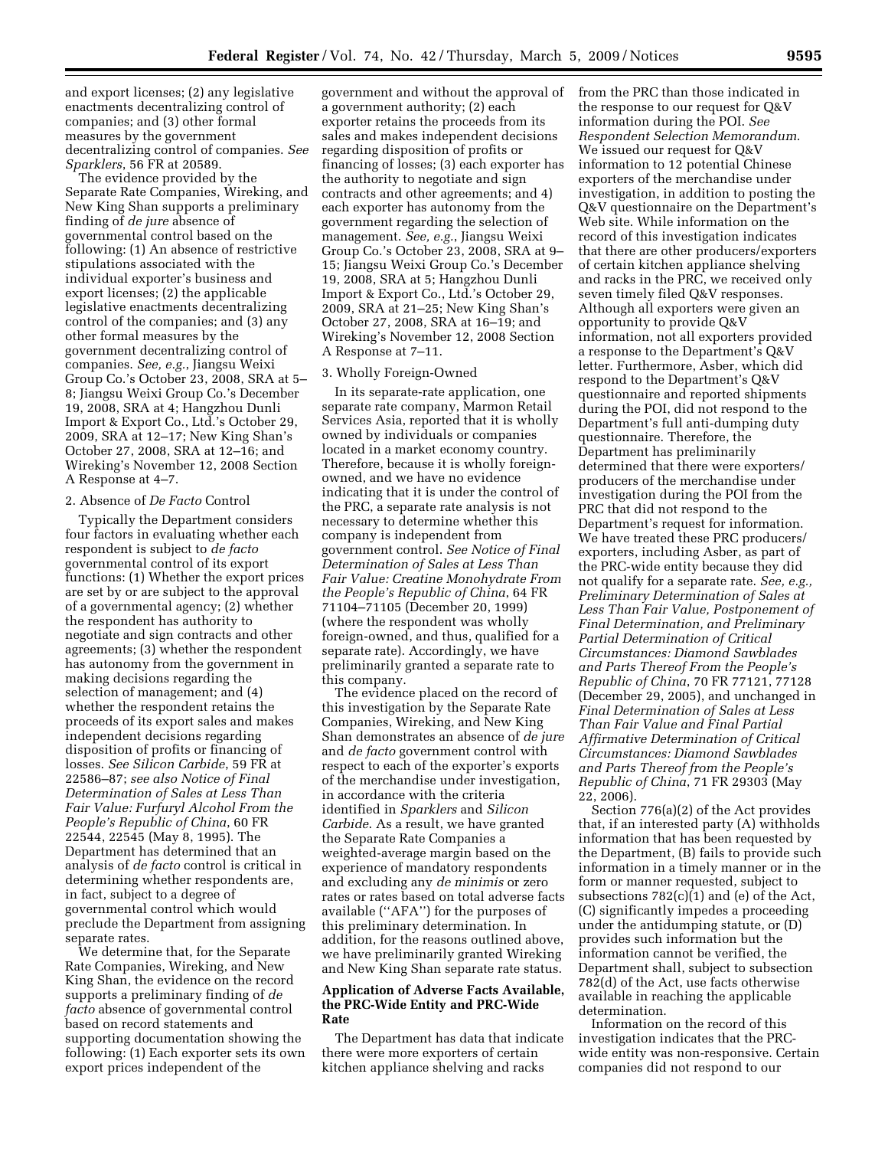and export licenses; (2) any legislative enactments decentralizing control of companies; and (3) other formal measures by the government decentralizing control of companies. *See Sparklers*, 56 FR at 20589.

The evidence provided by the Separate Rate Companies, Wireking, and New King Shan supports a preliminary finding of *de jure* absence of governmental control based on the following: (1) An absence of restrictive stipulations associated with the individual exporter's business and export licenses; (2) the applicable legislative enactments decentralizing control of the companies; and (3) any other formal measures by the government decentralizing control of companies. *See, e.g.*, Jiangsu Weixi Group Co.'s October 23, 2008, SRA at 5– 8; Jiangsu Weixi Group Co.'s December 19, 2008, SRA at 4; Hangzhou Dunli Import & Export Co., Ltd.'s October 29, 2009, SRA at 12–17; New King Shan's October 27, 2008, SRA at 12–16; and Wireking's November 12, 2008 Section A Response at 4–7.

## 2. Absence of *De Facto* Control

Typically the Department considers four factors in evaluating whether each respondent is subject to *de facto*  governmental control of its export functions: (1) Whether the export prices are set by or are subject to the approval of a governmental agency; (2) whether the respondent has authority to negotiate and sign contracts and other agreements; (3) whether the respondent has autonomy from the government in making decisions regarding the selection of management; and (4) whether the respondent retains the proceeds of its export sales and makes independent decisions regarding disposition of profits or financing of losses. *See Silicon Carbide*, 59 FR at 22586–87; *see also Notice of Final Determination of Sales at Less Than Fair Value: Furfuryl Alcohol From the People's Republic of China*, 60 FR 22544, 22545 (May 8, 1995). The Department has determined that an analysis of *de facto* control is critical in determining whether respondents are, in fact, subject to a degree of governmental control which would preclude the Department from assigning separate rates.

We determine that, for the Separate Rate Companies, Wireking, and New King Shan, the evidence on the record supports a preliminary finding of *de facto* absence of governmental control based on record statements and supporting documentation showing the following: (1) Each exporter sets its own export prices independent of the

government and without the approval of a government authority; (2) each exporter retains the proceeds from its sales and makes independent decisions regarding disposition of profits or financing of losses; (3) each exporter has the authority to negotiate and sign contracts and other agreements; and 4) each exporter has autonomy from the government regarding the selection of management. *See, e.g.*, Jiangsu Weixi Group Co.'s October 23, 2008, SRA at 9– 15; Jiangsu Weixi Group Co.'s December 19, 2008, SRA at 5; Hangzhou Dunli Import & Export Co., Ltd.'s October 29, 2009, SRA at 21–25; New King Shan's October 27, 2008, SRA at 16–19; and Wireking's November 12, 2008 Section A Response at 7–11.

### 3. Wholly Foreign-Owned

In its separate-rate application, one separate rate company, Marmon Retail Services Asia, reported that it is wholly owned by individuals or companies located in a market economy country. Therefore, because it is wholly foreignowned, and we have no evidence indicating that it is under the control of the PRC, a separate rate analysis is not necessary to determine whether this company is independent from government control. *See Notice of Final Determination of Sales at Less Than Fair Value: Creatine Monohydrate From the People's Republic of China*, 64 FR 71104–71105 (December 20, 1999) (where the respondent was wholly foreign-owned, and thus, qualified for a separate rate). Accordingly, we have preliminarily granted a separate rate to this company.

The evidence placed on the record of this investigation by the Separate Rate Companies, Wireking, and New King Shan demonstrates an absence of *de jure*  and *de facto* government control with respect to each of the exporter's exports of the merchandise under investigation, in accordance with the criteria identified in *Sparklers* and *Silicon Carbide*. As a result, we have granted the Separate Rate Companies a weighted-average margin based on the experience of mandatory respondents and excluding any *de minimis* or zero rates or rates based on total adverse facts available (''AFA'') for the purposes of this preliminary determination. In addition, for the reasons outlined above, we have preliminarily granted Wireking and New King Shan separate rate status.

## **Application of Adverse Facts Available, the PRC-Wide Entity and PRC-Wide Rate**

The Department has data that indicate there were more exporters of certain kitchen appliance shelving and racks

from the PRC than those indicated in the response to our request for Q&V information during the POI. *See Respondent Selection Memorandum*. We issued our request for Q&V information to 12 potential Chinese exporters of the merchandise under investigation, in addition to posting the Q&V questionnaire on the Department's Web site. While information on the record of this investigation indicates that there are other producers/exporters of certain kitchen appliance shelving and racks in the PRC, we received only seven timely filed Q&V responses. Although all exporters were given an opportunity to provide Q&V information, not all exporters provided a response to the Department's Q&V letter. Furthermore, Asber, which did respond to the Department's Q&V questionnaire and reported shipments during the POI, did not respond to the Department's full anti-dumping duty questionnaire. Therefore, the Department has preliminarily determined that there were exporters/ producers of the merchandise under investigation during the POI from the PRC that did not respond to the Department's request for information. We have treated these PRC producers/ exporters, including Asber, as part of the PRC-wide entity because they did not qualify for a separate rate. *See, e.g., Preliminary Determination of Sales at Less Than Fair Value, Postponement of Final Determination, and Preliminary Partial Determination of Critical Circumstances: Diamond Sawblades and Parts Thereof From the People's Republic of China*, 70 FR 77121, 77128 (December 29, 2005), and unchanged in *Final Determination of Sales at Less Than Fair Value and Final Partial Affirmative Determination of Critical Circumstances: Diamond Sawblades and Parts Thereof from the People's Republic of China*, 71 FR 29303 (May 22, 2006).

Section 776(a)(2) of the Act provides that, if an interested party (A) withholds information that has been requested by the Department, (B) fails to provide such information in a timely manner or in the form or manner requested, subject to subsections 782(c)(1) and (e) of the Act, (C) significantly impedes a proceeding under the antidumping statute, or (D) provides such information but the information cannot be verified, the Department shall, subject to subsection 782(d) of the Act, use facts otherwise available in reaching the applicable determination.

Information on the record of this investigation indicates that the PRCwide entity was non-responsive. Certain companies did not respond to our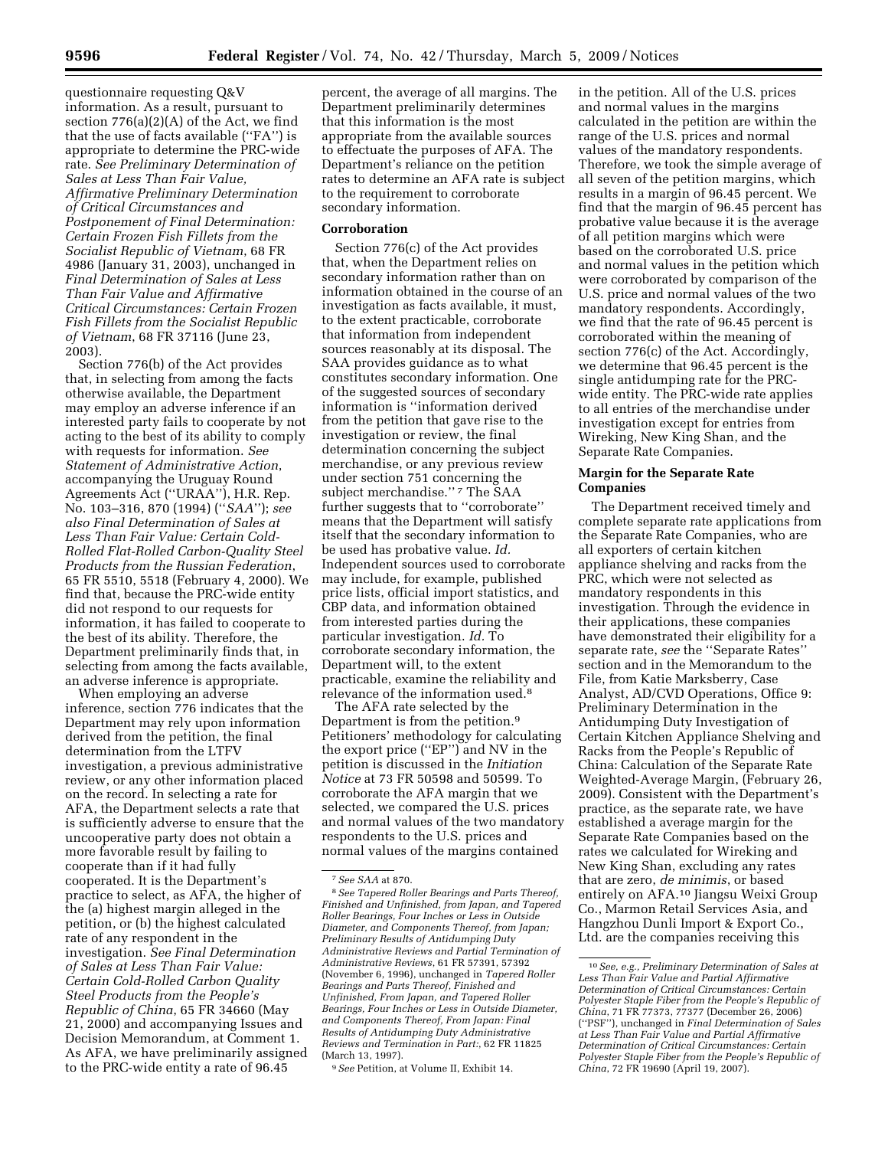questionnaire requesting Q&V information. As a result, pursuant to section 776(a)(2)(A) of the Act, we find that the use of facts available (''FA'') is appropriate to determine the PRC-wide rate. *See Preliminary Determination of Sales at Less Than Fair Value, Affirmative Preliminary Determination of Critical Circumstances and Postponement of Final Determination: Certain Frozen Fish Fillets from the Socialist Republic of Vietnam*, 68 FR 4986 (January 31, 2003), unchanged in *Final Determination of Sales at Less Than Fair Value and Affirmative Critical Circumstances: Certain Frozen Fish Fillets from the Socialist Republic of Vietnam*, 68 FR 37116 (June 23, 2003).

Section 776(b) of the Act provides that, in selecting from among the facts otherwise available, the Department may employ an adverse inference if an interested party fails to cooperate by not acting to the best of its ability to comply with requests for information. *See Statement of Administrative Action*, accompanying the Uruguay Round Agreements Act (''URAA''), H.R. Rep. No. 103–316, 870 (1994) (''*SAA*''); *see also Final Determination of Sales at Less Than Fair Value: Certain Cold-Rolled Flat-Rolled Carbon-Quality Steel Products from the Russian Federation*, 65 FR 5510, 5518 (February 4, 2000). We find that, because the PRC-wide entity did not respond to our requests for information, it has failed to cooperate to the best of its ability. Therefore, the Department preliminarily finds that, in selecting from among the facts available, an adverse inference is appropriate.

When employing an adverse inference, section 776 indicates that the Department may rely upon information derived from the petition, the final determination from the LTFV investigation, a previous administrative review, or any other information placed on the record. In selecting a rate for AFA, the Department selects a rate that is sufficiently adverse to ensure that the uncooperative party does not obtain a more favorable result by failing to cooperate than if it had fully cooperated. It is the Department's practice to select, as AFA, the higher of the (a) highest margin alleged in the petition, or (b) the highest calculated rate of any respondent in the investigation. *See Final Determination of Sales at Less Than Fair Value: Certain Cold-Rolled Carbon Quality Steel Products from the People's Republic of China*, 65 FR 34660 (May 21, 2000) and accompanying Issues and Decision Memorandum, at Comment 1. As AFA, we have preliminarily assigned to the PRC-wide entity a rate of 96.45

percent, the average of all margins. The Department preliminarily determines that this information is the most appropriate from the available sources to effectuate the purposes of AFA. The Department's reliance on the petition rates to determine an AFA rate is subject to the requirement to corroborate secondary information.

## **Corroboration**

Section 776(c) of the Act provides that, when the Department relies on secondary information rather than on information obtained in the course of an investigation as facts available, it must, to the extent practicable, corroborate that information from independent sources reasonably at its disposal. The SAA provides guidance as to what constitutes secondary information. One of the suggested sources of secondary information is ''information derived from the petition that gave rise to the investigation or review, the final determination concerning the subject merchandise, or any previous review under section 751 concerning the subject merchandise."<sup>7</sup> The SAA further suggests that to ''corroborate'' means that the Department will satisfy itself that the secondary information to be used has probative value. *Id.*  Independent sources used to corroborate may include, for example, published price lists, official import statistics, and CBP data, and information obtained from interested parties during the particular investigation. *Id.* To corroborate secondary information, the Department will, to the extent practicable, examine the reliability and relevance of the information used.<sup>8</sup>

The AFA rate selected by the Department is from the petition.9 Petitioners' methodology for calculating the export price (''EP'') and NV in the petition is discussed in the *Initiation Notice* at 73 FR 50598 and 50599. To corroborate the AFA margin that we selected, we compared the U.S. prices and normal values of the two mandatory respondents to the U.S. prices and normal values of the margins contained

9*See* Petition, at Volume II, Exhibit 14.

in the petition. All of the U.S. prices and normal values in the margins calculated in the petition are within the range of the U.S. prices and normal values of the mandatory respondents. Therefore, we took the simple average of all seven of the petition margins, which results in a margin of 96.45 percent. We find that the margin of 96.45 percent has probative value because it is the average of all petition margins which were based on the corroborated U.S. price and normal values in the petition which were corroborated by comparison of the U.S. price and normal values of the two mandatory respondents. Accordingly, we find that the rate of 96.45 percent is corroborated within the meaning of section 776(c) of the Act. Accordingly, we determine that 96.45 percent is the single antidumping rate for the PRCwide entity. The PRC-wide rate applies to all entries of the merchandise under investigation except for entries from Wireking, New King Shan, and the Separate Rate Companies.

### **Margin for the Separate Rate Companies**

The Department received timely and complete separate rate applications from the Separate Rate Companies, who are all exporters of certain kitchen appliance shelving and racks from the PRC, which were not selected as mandatory respondents in this investigation. Through the evidence in their applications, these companies have demonstrated their eligibility for a separate rate, *see* the ''Separate Rates'' section and in the Memorandum to the File, from Katie Marksberry, Case Analyst, AD/CVD Operations, Office 9: Preliminary Determination in the Antidumping Duty Investigation of Certain Kitchen Appliance Shelving and Racks from the People's Republic of China: Calculation of the Separate Rate Weighted-Average Margin, (February 26, 2009). Consistent with the Department's practice, as the separate rate, we have established a average margin for the Separate Rate Companies based on the rates we calculated for Wireking and New King Shan, excluding any rates that are zero, *de minimis*, or based entirely on AFA.10 Jiangsu Weixi Group Co., Marmon Retail Services Asia, and Hangzhou Dunli Import & Export Co., Ltd. are the companies receiving this

<sup>7</sup>*See SAA* at 870.

<sup>8</sup>*See Tapered Roller Bearings and Parts Thereof, Finished and Unfinished, from Japan, and Tapered Roller Bearings, Four Inches or Less in Outside Diameter, and Components Thereof, from Japan; Preliminary Results of Antidumping Duty Administrative Reviews and Partial Termination of Administrative Reviews*, 61 FR 57391, 57392 (November 6, 1996), unchanged in *Tapered Roller Bearings and Parts Thereof, Finished and Unfinished, From Japan, and Tapered Roller Bearings, Four Inches or Less in Outside Diameter, and Components Thereof, From Japan: Final Results of Antidumping Duty Administrative Reviews and Termination in Part:*, 62 FR 11825 (March 13, 1997).

<sup>10</sup>*See, e.g., Preliminary Determination of Sales at Less Than Fair Value and Partial Affirmative Determination of Critical Circumstances: Certain Polyester Staple Fiber from the People's Republic of China*, 71 FR 77373, 77377 (December 26, 2006) (''PSF''), unchanged in *Final Determination of Sales at Less Than Fair Value and Partial Affirmative Determination of Critical Circumstances: Certain Polyester Staple Fiber from the People's Republic of China*, 72 FR 19690 (April 19, 2007).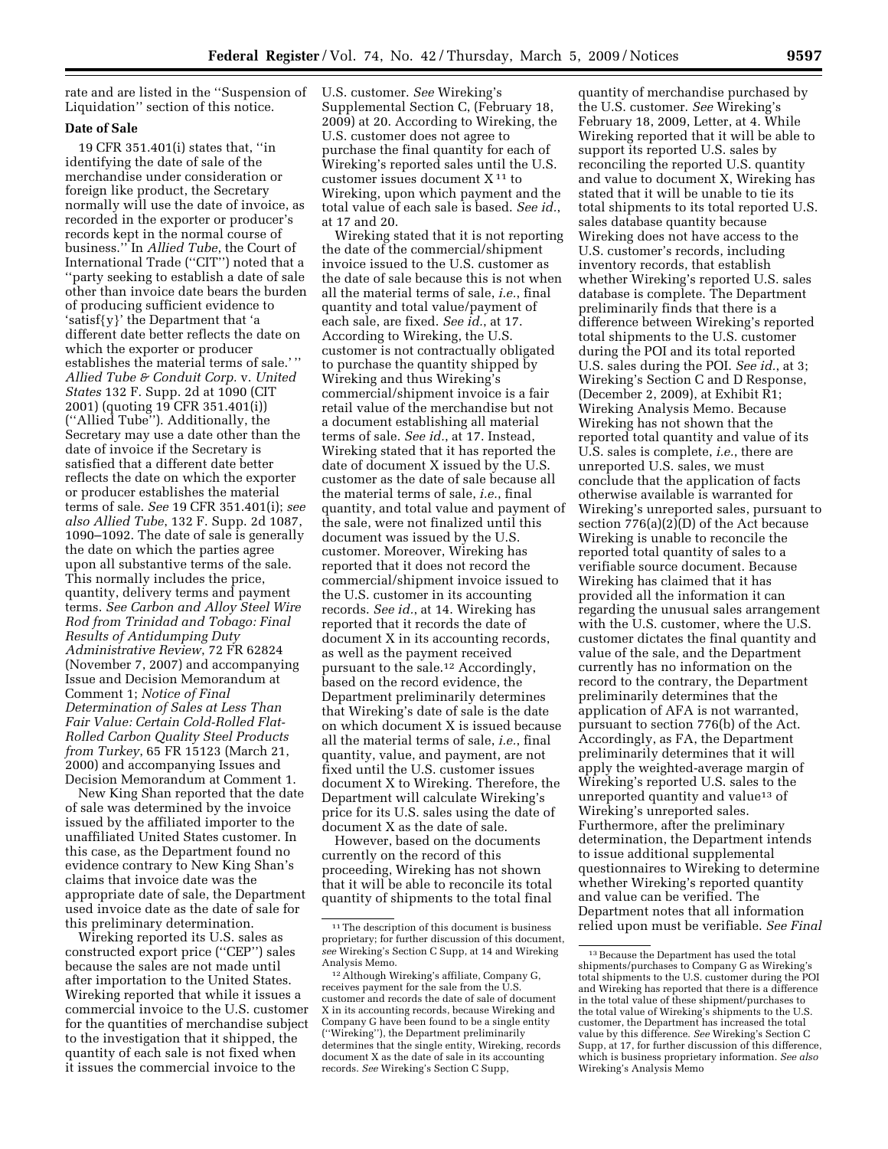rate and are listed in the ''Suspension of Liquidation'' section of this notice.

### **Date of Sale**

19 CFR 351.401(i) states that, ''in identifying the date of sale of the merchandise under consideration or foreign like product, the Secretary normally will use the date of invoice, as recorded in the exporter or producer's records kept in the normal course of business.'' In *Allied Tube*, the Court of International Trade (''CIT'') noted that a ''party seeking to establish a date of sale other than invoice date bears the burden of producing sufficient evidence to 'satisf{y}' the Department that 'a different date better reflects the date on which the exporter or producer establishes the material terms of sale.' '' *Allied Tube & Conduit Corp.* v. *United States* 132 F. Supp. 2d at 1090 (CIT 2001) (quoting 19 CFR 351.401(i)) (''Allied Tube''). Additionally, the Secretary may use a date other than the date of invoice if the Secretary is satisfied that a different date better reflects the date on which the exporter or producer establishes the material terms of sale. *See* 19 CFR 351.401(i); *see also Allied Tube*, 132 F. Supp. 2d 1087, 1090–1092. The date of sale is generally the date on which the parties agree upon all substantive terms of the sale. This normally includes the price, quantity, delivery terms and payment terms. *See Carbon and Alloy Steel Wire Rod from Trinidad and Tobago: Final Results of Antidumping Duty Administrative Review*, 72 FR 62824 (November 7, 2007) and accompanying Issue and Decision Memorandum at Comment 1; *Notice of Final Determination of Sales at Less Than Fair Value: Certain Cold-Rolled Flat-Rolled Carbon Quality Steel Products from Turkey*, 65 FR 15123 (March 21, 2000) and accompanying Issues and Decision Memorandum at Comment 1.

New King Shan reported that the date of sale was determined by the invoice issued by the affiliated importer to the unaffiliated United States customer. In this case, as the Department found no evidence contrary to New King Shan's claims that invoice date was the appropriate date of sale, the Department used invoice date as the date of sale for this preliminary determination.

Wireking reported its U.S. sales as constructed export price (''CEP'') sales because the sales are not made until after importation to the United States. Wireking reported that while it issues a commercial invoice to the U.S. customer for the quantities of merchandise subject to the investigation that it shipped, the quantity of each sale is not fixed when it issues the commercial invoice to the

U.S. customer. *See* Wireking's Supplemental Section C, (February 18, 2009) at 20. According to Wireking, the U.S. customer does not agree to purchase the final quantity for each of Wireking's reported sales until the U.S. customer issues document X 11 to Wireking, upon which payment and the total value of each sale is based. *See id.*, at 17 and 20.

Wireking stated that it is not reporting the date of the commercial/shipment invoice issued to the U.S. customer as the date of sale because this is not when all the material terms of sale, *i.e.*, final quantity and total value/payment of each sale, are fixed. *See id.*, at 17. According to Wireking, the U.S. customer is not contractually obligated to purchase the quantity shipped by Wireking and thus Wireking's commercial/shipment invoice is a fair retail value of the merchandise but not a document establishing all material terms of sale. *See id.*, at 17. Instead, Wireking stated that it has reported the date of document X issued by the U.S. customer as the date of sale because all the material terms of sale, *i.e.*, final quantity, and total value and payment of the sale, were not finalized until this document was issued by the U.S. customer. Moreover, Wireking has reported that it does not record the commercial/shipment invoice issued to the U.S. customer in its accounting records. *See id.*, at 14. Wireking has reported that it records the date of document X in its accounting records, as well as the payment received pursuant to the sale.12 Accordingly, based on the record evidence, the Department preliminarily determines that Wireking's date of sale is the date on which document X is issued because all the material terms of sale, *i.e.*, final quantity, value, and payment, are not fixed until the U.S. customer issues document X to Wireking. Therefore, the Department will calculate Wireking's price for its U.S. sales using the date of document X as the date of sale.

However, based on the documents currently on the record of this proceeding, Wireking has not shown that it will be able to reconcile its total quantity of shipments to the total final

quantity of merchandise purchased by the U.S. customer. *See* Wireking's February 18, 2009, Letter, at 4. While Wireking reported that it will be able to support its reported U.S. sales by reconciling the reported U.S. quantity and value to document X, Wireking has stated that it will be unable to tie its total shipments to its total reported U.S. sales database quantity because Wireking does not have access to the U.S. customer's records, including inventory records, that establish whether Wireking's reported U.S. sales database is complete. The Department preliminarily finds that there is a difference between Wireking's reported total shipments to the U.S. customer during the POI and its total reported U.S. sales during the POI. *See id.*, at 3; Wireking's Section C and D Response, (December 2, 2009), at Exhibit R1; Wireking Analysis Memo. Because Wireking has not shown that the reported total quantity and value of its U.S. sales is complete, *i.e.*, there are unreported U.S. sales, we must conclude that the application of facts otherwise available is warranted for Wireking's unreported sales, pursuant to section 776(a)(2)(D) of the Act because Wireking is unable to reconcile the reported total quantity of sales to a verifiable source document. Because Wireking has claimed that it has provided all the information it can regarding the unusual sales arrangement with the U.S. customer, where the U.S. customer dictates the final quantity and value of the sale, and the Department currently has no information on the record to the contrary, the Department preliminarily determines that the application of AFA is not warranted, pursuant to section 776(b) of the Act. Accordingly, as FA, the Department preliminarily determines that it will apply the weighted-average margin of Wireking's reported U.S. sales to the unreported quantity and value<sup>13</sup> of Wireking's unreported sales. Furthermore, after the preliminary determination, the Department intends to issue additional supplemental questionnaires to Wireking to determine whether Wireking's reported quantity and value can be verified. The Department notes that all information relied upon must be verifiable. *See Final* 

<sup>&</sup>lt;sup>11</sup>The description of this document is business proprietary; for further discussion of this document, *see* Wireking's Section C Supp, at 14 and Wireking Analysis Memo.

<sup>12</sup>Although Wireking's affiliate, Company G, receives payment for the sale from the U.S. customer and records the date of sale of document X in its accounting records, because Wireking and Company G have been found to be a single entity (''Wireking''), the Department preliminarily determines that the single entity, Wireking, records document X as the date of sale in its accounting records. *See* Wireking's Section C Supp,

 $^{\rm 13}\, {\rm Because}$  the Department has used the total shipments/purchases to Company G as Wireking's total shipments to the U.S. customer during the POI and Wireking has reported that there is a difference in the total value of these shipment/purchases to the total value of Wireking's shipments to the U.S. customer, the Department has increased the total value by this difference. *See* Wireking's Section C Supp, at 17, for further discussion of this difference, which is business proprietary information. *See also*  Wireking's Analysis Memo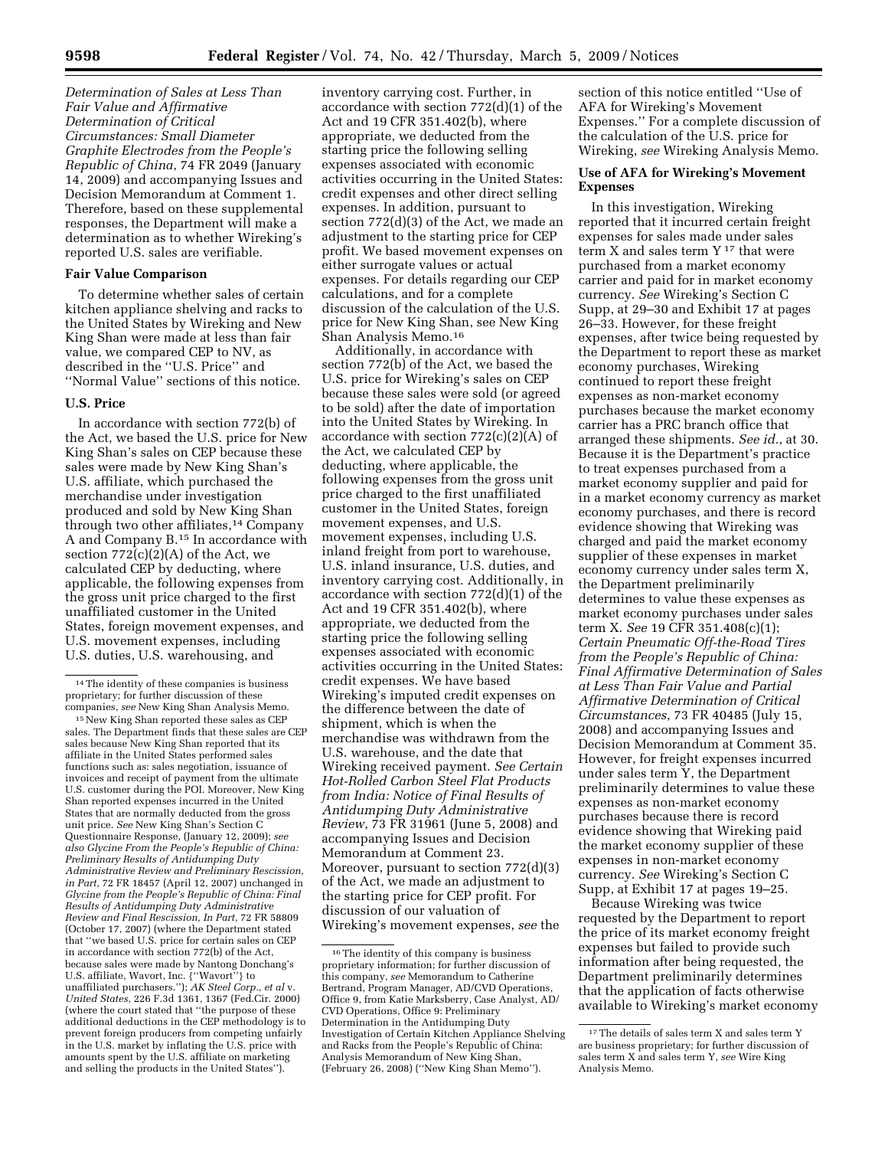*Determination of Sales at Less Than Fair Value and Affirmative Determination of Critical Circumstances: Small Diameter Graphite Electrodes from the People's Republic of China*, 74 FR 2049 (January 14, 2009) and accompanying Issues and Decision Memorandum at Comment 1. Therefore, based on these supplemental responses, the Department will make a determination as to whether Wireking's reported U.S. sales are verifiable.

### **Fair Value Comparison**

To determine whether sales of certain kitchen appliance shelving and racks to the United States by Wireking and New King Shan were made at less than fair value, we compared CEP to NV, as described in the ''U.S. Price'' and ''Normal Value'' sections of this notice.

### **U.S. Price**

In accordance with section 772(b) of the Act, we based the U.S. price for New King Shan's sales on CEP because these sales were made by New King Shan's U.S. affiliate, which purchased the merchandise under investigation produced and sold by New King Shan through two other affiliates,14 Company A and Company B.15 In accordance with section  $772(c)(2)(A)$  of the Act, we calculated CEP by deducting, where applicable, the following expenses from the gross unit price charged to the first unaffiliated customer in the United States, foreign movement expenses, and U.S. movement expenses, including U.S. duties, U.S. warehousing, and

15New King Shan reported these sales as CEP sales. The Department finds that these sales are CEP sales because New King Shan reported that its affiliate in the United States performed sales functions such as: sales negotiation, issuance of invoices and receipt of payment from the ultimate U.S. customer during the POI. Moreover, New King Shan reported expenses incurred in the United States that are normally deducted from the gross unit price. *See* New King Shan's Section C Questionnaire Response, (January 12, 2009); *see also Glycine From the People's Republic of China: Preliminary Results of Antidumping Duty Administrative Review and Preliminary Rescission, in Part*, 72 FR 18457 (April 12, 2007) unchanged in *Glycine from the People's Republic of China: Final Results of Antidumping Duty Administrative Review and Final Rescission, In Part*, 72 FR 58809 (October 17, 2007) (where the Department stated that ''we based U.S. price for certain sales on CEP in accordance with section 772(b) of the Act, because sales were made by Nantong Donchang's U.S. affiliate, Wavort, Inc. {''Wavort''} to unaffiliated purchasers.''); *AK Steel Corp., et al* v. *United States*, 226 F.3d 1361, 1367 (Fed.Cir. 2000) (where the court stated that ''the purpose of these additional deductions in the CEP methodology is to prevent foreign producers from competing unfairly in the U.S. market by inflating the U.S. price with amounts spent by the U.S. affiliate on marketing and selling the products in the United States'').

inventory carrying cost. Further, in accordance with section 772(d)(1) of the Act and 19 CFR 351.402(b), where appropriate, we deducted from the starting price the following selling expenses associated with economic activities occurring in the United States: credit expenses and other direct selling expenses. In addition, pursuant to section 772(d)(3) of the Act, we made an adjustment to the starting price for CEP profit. We based movement expenses on either surrogate values or actual expenses. For details regarding our CEP calculations, and for a complete discussion of the calculation of the U.S. price for New King Shan, see New King Shan Analysis Memo.16

Additionally, in accordance with section 772(b) of the Act, we based the U.S. price for Wireking's sales on CEP because these sales were sold (or agreed to be sold) after the date of importation into the United States by Wireking. In accordance with section  $772(c)(2)(A)$  of the Act, we calculated CEP by deducting, where applicable, the following expenses from the gross unit price charged to the first unaffiliated customer in the United States, foreign movement expenses, and U.S. movement expenses, including U.S. inland freight from port to warehouse, U.S. inland insurance, U.S. duties, and inventory carrying cost. Additionally, in accordance with section 772(d)(1) of the Act and 19 CFR 351.402(b), where appropriate, we deducted from the starting price the following selling expenses associated with economic activities occurring in the United States: credit expenses. We have based Wireking's imputed credit expenses on the difference between the date of shipment, which is when the merchandise was withdrawn from the U.S. warehouse, and the date that Wireking received payment. *See Certain Hot-Rolled Carbon Steel Flat Products from India: Notice of Final Results of Antidumping Duty Administrative Review*, 73 FR 31961 (June 5, 2008) and accompanying Issues and Decision Memorandum at Comment 23. Moreover, pursuant to section 772(d)(3) of the Act, we made an adjustment to the starting price for CEP profit. For discussion of our valuation of Wireking's movement expenses, *see* the

section of this notice entitled ''Use of AFA for Wireking's Movement Expenses.'' For a complete discussion of the calculation of the U.S. price for Wireking, *see* Wireking Analysis Memo.

## **Use of AFA for Wireking's Movement Expenses**

In this investigation, Wireking reported that it incurred certain freight expenses for sales made under sales term  $X$  and sales term  $Y$ <sup>17</sup> that were purchased from a market economy carrier and paid for in market economy currency. *See* Wireking's Section C Supp, at 29–30 and Exhibit 17 at pages 26–33. However, for these freight expenses, after twice being requested by the Department to report these as market economy purchases, Wireking continued to report these freight expenses as non-market economy purchases because the market economy carrier has a PRC branch office that arranged these shipments. *See id.*, at 30. Because it is the Department's practice to treat expenses purchased from a market economy supplier and paid for in a market economy currency as market economy purchases, and there is record evidence showing that Wireking was charged and paid the market economy supplier of these expenses in market economy currency under sales term X, the Department preliminarily determines to value these expenses as market economy purchases under sales term X. *See* 19 CFR 351.408(c)(1); *Certain Pneumatic Off-the-Road Tires from the People's Republic of China: Final Affirmative Determination of Sales at Less Than Fair Value and Partial Affirmative Determination of Critical Circumstances*, 73 FR 40485 (July 15, 2008) and accompanying Issues and Decision Memorandum at Comment 35. However, for freight expenses incurred under sales term Y, the Department preliminarily determines to value these expenses as non-market economy purchases because there is record evidence showing that Wireking paid the market economy supplier of these expenses in non-market economy currency. *See* Wireking's Section C Supp, at Exhibit 17 at pages 19–25.

Because Wireking was twice requested by the Department to report the price of its market economy freight expenses but failed to provide such information after being requested, the Department preliminarily determines that the application of facts otherwise available to Wireking's market economy

<sup>14</sup>The identity of these companies is business proprietary; for further discussion of these companies, *see* New King Shan Analysis Memo.

<sup>16</sup>The identity of this company is business proprietary information; for further discussion of this company, *see* Memorandum to Catherine Bertrand, Program Manager, AD/CVD Operations, Office 9, from Katie Marksberry, Case Analyst, AD/ CVD Operations, Office 9: Preliminary Determination in the Antidumping Duty Investigation of Certain Kitchen Appliance Shelving and Racks from the People's Republic of China: Analysis Memorandum of New King Shan, (February 26, 2008) (''New King Shan Memo'').

<sup>17</sup>The details of sales term X and sales term Y are business proprietary; for further discussion of sales term X and sales term Y, *see* Wire King Analysis Memo.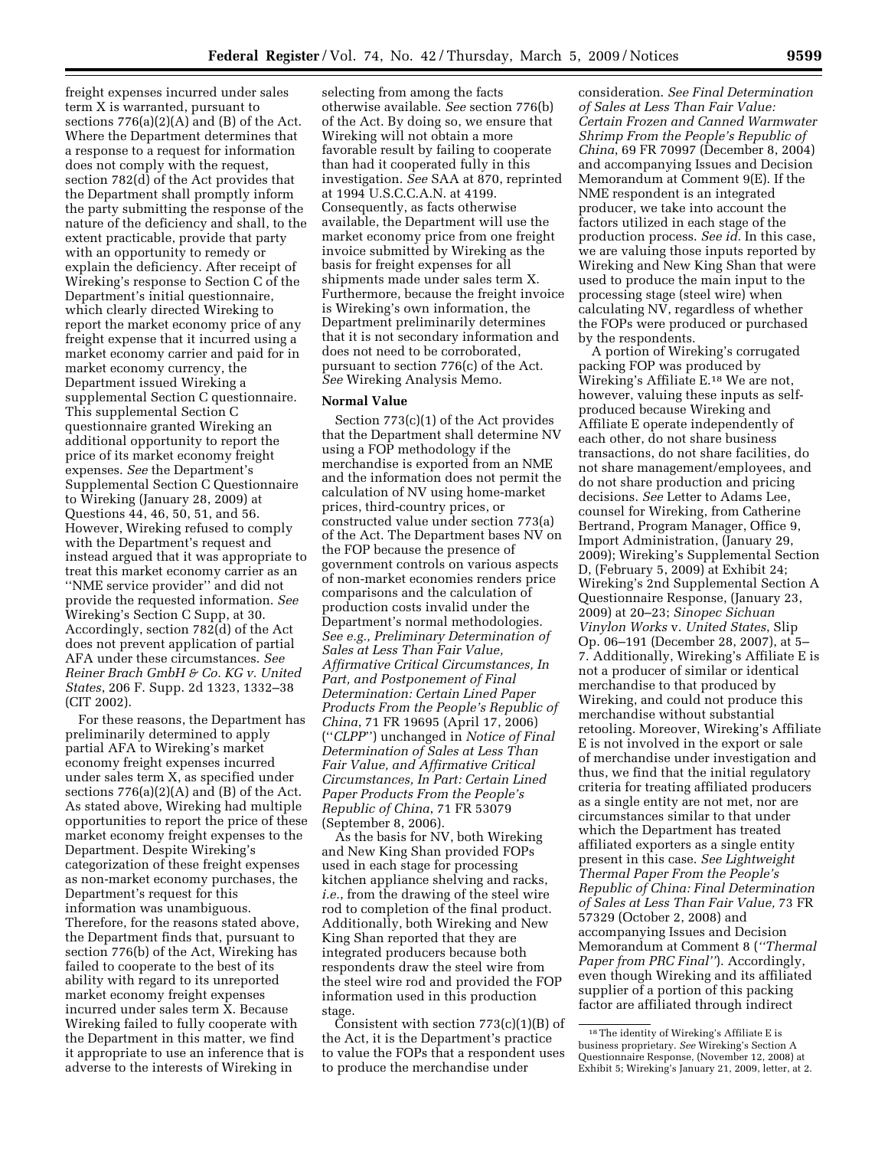freight expenses incurred under sales term X is warranted, pursuant to sections  $776(a)(2)(A)$  and  $(B)$  of the Act. Where the Department determines that a response to a request for information does not comply with the request, section 782(d) of the Act provides that the Department shall promptly inform the party submitting the response of the nature of the deficiency and shall, to the extent practicable, provide that party with an opportunity to remedy or explain the deficiency. After receipt of Wireking's response to Section C of the Department's initial questionnaire, which clearly directed Wireking to report the market economy price of any freight expense that it incurred using a market economy carrier and paid for in market economy currency, the Department issued Wireking a supplemental Section C questionnaire. This supplemental Section C questionnaire granted Wireking an additional opportunity to report the price of its market economy freight expenses. *See* the Department's Supplemental Section C Questionnaire to Wireking (January 28, 2009) at Questions 44, 46, 50, 51, and 56. However, Wireking refused to comply with the Department's request and instead argued that it was appropriate to treat this market economy carrier as an ''NME service provider'' and did not provide the requested information. *See*  Wireking's Section C Supp, at 30. Accordingly, section 782(d) of the Act does not prevent application of partial AFA under these circumstances. *See Reiner Brach GmbH & Co. KG v. United States*, 206 F. Supp. 2d 1323, 1332–38 (CIT 2002).

For these reasons, the Department has preliminarily determined to apply partial AFA to Wireking's market economy freight expenses incurred under sales term X, as specified under sections  $776(a)(2)(A)$  and  $(B)$  of the Act. As stated above, Wireking had multiple opportunities to report the price of these market economy freight expenses to the Department. Despite Wireking's categorization of these freight expenses as non-market economy purchases, the Department's request for this information was unambiguous. Therefore, for the reasons stated above, the Department finds that, pursuant to section 776(b) of the Act, Wireking has failed to cooperate to the best of its ability with regard to its unreported market economy freight expenses incurred under sales term X. Because Wireking failed to fully cooperate with the Department in this matter, we find it appropriate to use an inference that is adverse to the interests of Wireking in

selecting from among the facts otherwise available. *See* section 776(b) of the Act. By doing so, we ensure that Wireking will not obtain a more favorable result by failing to cooperate than had it cooperated fully in this investigation. *See* SAA at 870, reprinted at 1994 U.S.C.C.A.N. at 4199. Consequently, as facts otherwise available, the Department will use the market economy price from one freight invoice submitted by Wireking as the basis for freight expenses for all shipments made under sales term X. Furthermore, because the freight invoice is Wireking's own information, the Department preliminarily determines that it is not secondary information and does not need to be corroborated, pursuant to section 776(c) of the Act. *See* Wireking Analysis Memo.

## **Normal Value**

Section 773(c)(1) of the Act provides that the Department shall determine NV using a FOP methodology if the merchandise is exported from an NME and the information does not permit the calculation of NV using home-market prices, third-country prices, or constructed value under section 773(a) of the Act. The Department bases NV on the FOP because the presence of government controls on various aspects of non-market economies renders price comparisons and the calculation of production costs invalid under the Department's normal methodologies. *See e.g., Preliminary Determination of Sales at Less Than Fair Value, Affirmative Critical Circumstances, In Part, and Postponement of Final Determination: Certain Lined Paper Products From the People's Republic of China*, 71 FR 19695 (April 17, 2006) (''*CLPP*'') unchanged in *Notice of Final Determination of Sales at Less Than Fair Value, and Affirmative Critical Circumstances, In Part: Certain Lined Paper Products From the People's Republic of China*, 71 FR 53079 (September 8, 2006).

As the basis for NV, both Wireking and New King Shan provided FOPs used in each stage for processing kitchen appliance shelving and racks, *i.e.*, from the drawing of the steel wire rod to completion of the final product. Additionally, both Wireking and New King Shan reported that they are integrated producers because both respondents draw the steel wire from the steel wire rod and provided the FOP information used in this production stage.

Consistent with section  $773(c)(1)(B)$  of the Act, it is the Department's practice to value the FOPs that a respondent uses to produce the merchandise under

consideration. *See Final Determination of Sales at Less Than Fair Value: Certain Frozen and Canned Warmwater Shrimp From the People's Republic of China*, 69 FR 70997 (December 8, 2004) and accompanying Issues and Decision Memorandum at Comment 9(E). If the NME respondent is an integrated producer, we take into account the factors utilized in each stage of the production process. *See id.* In this case, we are valuing those inputs reported by Wireking and New King Shan that were used to produce the main input to the processing stage (steel wire) when calculating NV, regardless of whether the FOPs were produced or purchased by the respondents.

A portion of Wireking's corrugated packing FOP was produced by Wireking's Affiliate E.18 We are not, however, valuing these inputs as selfproduced because Wireking and Affiliate E operate independently of each other, do not share business transactions, do not share facilities, do not share management/employees, and do not share production and pricing decisions. *See* Letter to Adams Lee, counsel for Wireking, from Catherine Bertrand, Program Manager, Office 9, Import Administration, (January 29, 2009); Wireking's Supplemental Section D, (February 5, 2009) at Exhibit 24; Wireking's 2nd Supplemental Section A Questionnaire Response, (January 23, 2009) at 20–23; *Sinopec Sichuan Vinylon Works* v. *United States*, Slip Op. 06–191 (December 28, 2007), at 5– 7. Additionally, Wireking's Affiliate E is not a producer of similar or identical merchandise to that produced by Wireking, and could not produce this merchandise without substantial retooling. Moreover, Wireking's Affiliate E is not involved in the export or sale of merchandise under investigation and thus, we find that the initial regulatory criteria for treating affiliated producers as a single entity are not met, nor are circumstances similar to that under which the Department has treated affiliated exporters as a single entity present in this case. *See Lightweight Thermal Paper From the People's Republic of China: Final Determination of Sales at Less Than Fair Value,* 73 FR 57329 (October 2, 2008) and accompanying Issues and Decision Memorandum at Comment 8 (*''Thermal Paper from PRC Final''*). Accordingly, even though Wireking and its affiliated supplier of a portion of this packing factor are affiliated through indirect

<sup>18</sup>The identity of Wireking's Affiliate E is business proprietary. *See* Wireking's Section A Questionnaire Response, (November 12, 2008) at Exhibit 5; Wireking's January 21, 2009, letter, at 2.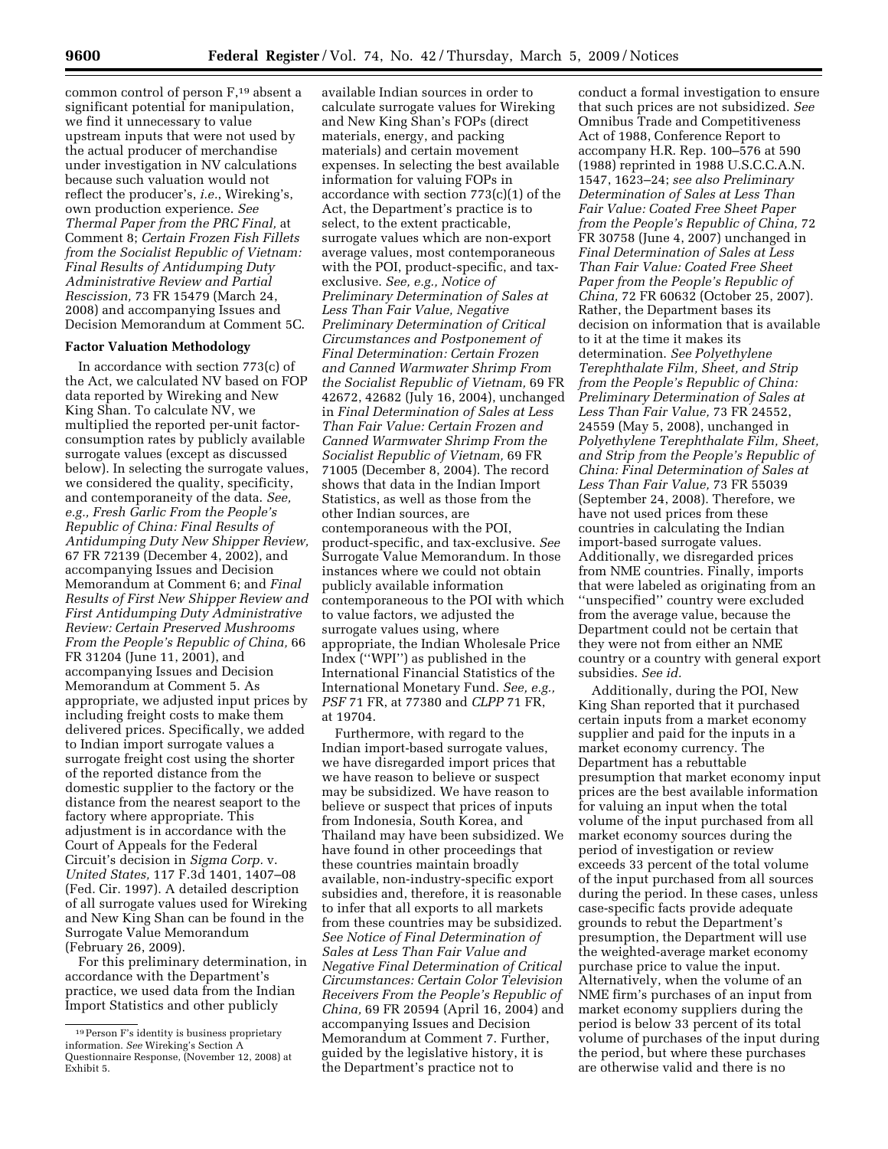common control of person F,19 absent a significant potential for manipulation, we find it unnecessary to value upstream inputs that were not used by the actual producer of merchandise under investigation in NV calculations because such valuation would not reflect the producer's, *i.e.*, Wireking's, own production experience. *See Thermal Paper from the PRC Final,* at Comment 8; *Certain Frozen Fish Fillets from the Socialist Republic of Vietnam: Final Results of Antidumping Duty Administrative Review and Partial Rescission,* 73 FR 15479 (March 24, 2008) and accompanying Issues and Decision Memorandum at Comment 5C.

#### **Factor Valuation Methodology**

In accordance with section 773(c) of the Act, we calculated NV based on FOP data reported by Wireking and New King Shan. To calculate NV, we multiplied the reported per-unit factorconsumption rates by publicly available surrogate values (except as discussed below). In selecting the surrogate values, we considered the quality, specificity, and contemporaneity of the data. *See, e.g., Fresh Garlic From the People's Republic of China: Final Results of Antidumping Duty New Shipper Review,*  67 FR 72139 (December 4, 2002), and accompanying Issues and Decision Memorandum at Comment 6; and *Final Results of First New Shipper Review and First Antidumping Duty Administrative Review: Certain Preserved Mushrooms From the People's Republic of China,* 66 FR 31204 (June 11, 2001), and accompanying Issues and Decision Memorandum at Comment 5. As appropriate, we adjusted input prices by including freight costs to make them delivered prices. Specifically, we added to Indian import surrogate values a surrogate freight cost using the shorter of the reported distance from the domestic supplier to the factory or the distance from the nearest seaport to the factory where appropriate. This adjustment is in accordance with the Court of Appeals for the Federal Circuit's decision in *Sigma Corp.* v. *United States,* 117 F.3d 1401, 1407–08 (Fed. Cir. 1997). A detailed description of all surrogate values used for Wireking and New King Shan can be found in the Surrogate Value Memorandum (February 26, 2009).

For this preliminary determination, in accordance with the Department's practice, we used data from the Indian Import Statistics and other publicly

available Indian sources in order to calculate surrogate values for Wireking and New King Shan's FOPs (direct materials, energy, and packing materials) and certain movement expenses. In selecting the best available information for valuing FOPs in accordance with section 773(c)(1) of the Act, the Department's practice is to select, to the extent practicable, surrogate values which are non-export average values, most contemporaneous with the POI, product-specific, and taxexclusive. *See, e.g., Notice of Preliminary Determination of Sales at Less Than Fair Value, Negative Preliminary Determination of Critical Circumstances and Postponement of Final Determination: Certain Frozen and Canned Warmwater Shrimp From the Socialist Republic of Vietnam,* 69 FR 42672, 42682 (July 16, 2004), unchanged in *Final Determination of Sales at Less Than Fair Value: Certain Frozen and Canned Warmwater Shrimp From the Socialist Republic of Vietnam,* 69 FR 71005 (December 8, 2004). The record shows that data in the Indian Import Statistics, as well as those from the other Indian sources, are contemporaneous with the POI, product-specific, and tax-exclusive. *See*  Surrogate Value Memorandum. In those instances where we could not obtain publicly available information contemporaneous to the POI with which to value factors, we adjusted the surrogate values using, where appropriate, the Indian Wholesale Price Index (''WPI'') as published in the International Financial Statistics of the International Monetary Fund. *See, e.g., PSF* 71 FR, at 77380 and *CLPP* 71 FR, at 19704.

Furthermore, with regard to the Indian import-based surrogate values, we have disregarded import prices that we have reason to believe or suspect may be subsidized. We have reason to believe or suspect that prices of inputs from Indonesia, South Korea, and Thailand may have been subsidized. We have found in other proceedings that these countries maintain broadly available, non-industry-specific export subsidies and, therefore, it is reasonable to infer that all exports to all markets from these countries may be subsidized. *See Notice of Final Determination of Sales at Less Than Fair Value and Negative Final Determination of Critical Circumstances: Certain Color Television Receivers From the People's Republic of China,* 69 FR 20594 (April 16, 2004) and accompanying Issues and Decision Memorandum at Comment 7. Further, guided by the legislative history, it is the Department's practice not to

conduct a formal investigation to ensure that such prices are not subsidized. *See*  Omnibus Trade and Competitiveness Act of 1988, Conference Report to accompany H.R. Rep. 100–576 at 590 (1988) reprinted in 1988 U.S.C.C.A.N. 1547, 1623–24; *see also Preliminary Determination of Sales at Less Than Fair Value: Coated Free Sheet Paper from the People's Republic of China,* 72 FR 30758 (June 4, 2007) unchanged in *Final Determination of Sales at Less Than Fair Value: Coated Free Sheet Paper from the People's Republic of China,* 72 FR 60632 (October 25, 2007). Rather, the Department bases its decision on information that is available to it at the time it makes its determination. *See Polyethylene Terephthalate Film, Sheet, and Strip from the People's Republic of China: Preliminary Determination of Sales at Less Than Fair Value,* 73 FR 24552, 24559 (May 5, 2008), unchanged in *Polyethylene Terephthalate Film, Sheet, and Strip from the People's Republic of China: Final Determination of Sales at Less Than Fair Value,* 73 FR 55039 (September 24, 2008). Therefore, we have not used prices from these countries in calculating the Indian import-based surrogate values. Additionally, we disregarded prices from NME countries. Finally, imports that were labeled as originating from an ''unspecified'' country were excluded from the average value, because the Department could not be certain that they were not from either an NME country or a country with general export subsidies. *See id.* 

Additionally, during the POI, New King Shan reported that it purchased certain inputs from a market economy supplier and paid for the inputs in a market economy currency. The Department has a rebuttable presumption that market economy input prices are the best available information for valuing an input when the total volume of the input purchased from all market economy sources during the period of investigation or review exceeds 33 percent of the total volume of the input purchased from all sources during the period. In these cases, unless case-specific facts provide adequate grounds to rebut the Department's presumption, the Department will use the weighted-average market economy purchase price to value the input. Alternatively, when the volume of an NME firm's purchases of an input from market economy suppliers during the period is below 33 percent of its total volume of purchases of the input during the period, but where these purchases are otherwise valid and there is no

<sup>19</sup>Person F's identity is business proprietary information. *See* Wireking's Section A Questionnaire Response, (November 12, 2008) at Exhibit 5.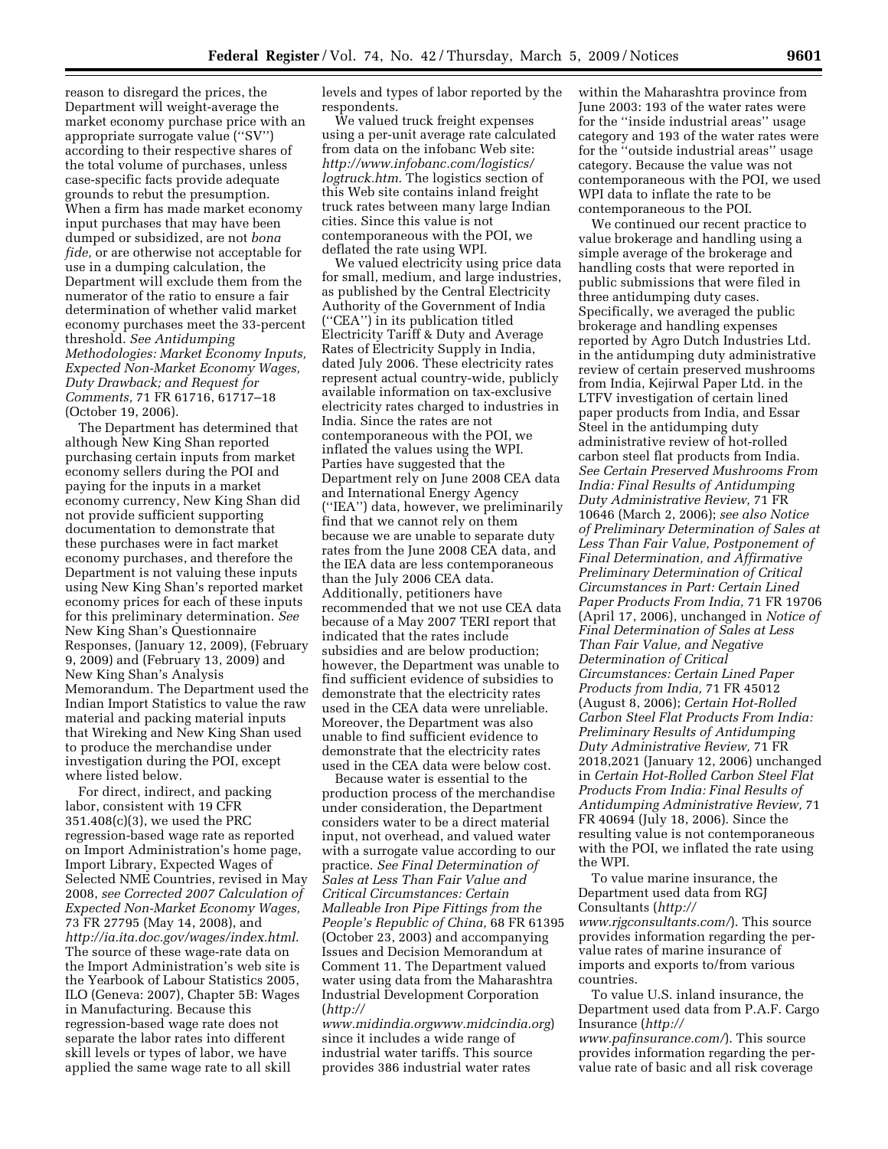reason to disregard the prices, the Department will weight-average the market economy purchase price with an appropriate surrogate value (''SV'') according to their respective shares of the total volume of purchases, unless case-specific facts provide adequate grounds to rebut the presumption. When a firm has made market economy input purchases that may have been dumped or subsidized, are not *bona fide,* or are otherwise not acceptable for use in a dumping calculation, the Department will exclude them from the numerator of the ratio to ensure a fair determination of whether valid market economy purchases meet the 33-percent threshold. *See Antidumping Methodologies: Market Economy Inputs, Expected Non-Market Economy Wages, Duty Drawback; and Request for Comments,* 71 FR 61716, 61717–18 (October 19, 2006).

The Department has determined that although New King Shan reported purchasing certain inputs from market economy sellers during the POI and paying for the inputs in a market economy currency, New King Shan did not provide sufficient supporting documentation to demonstrate that these purchases were in fact market economy purchases, and therefore the Department is not valuing these inputs using New King Shan's reported market economy prices for each of these inputs for this preliminary determination. *See*  New King Shan's Questionnaire Responses, (January 12, 2009), (February 9, 2009) and (February 13, 2009) and New King Shan's Analysis Memorandum. The Department used the Indian Import Statistics to value the raw material and packing material inputs that Wireking and New King Shan used to produce the merchandise under investigation during the POI, except where listed below.

For direct, indirect, and packing labor, consistent with 19 CFR 351.408(c)(3), we used the PRC regression-based wage rate as reported on Import Administration's home page, Import Library, Expected Wages of Selected NME Countries, revised in May 2008, *see Corrected 2007 Calculation of Expected Non-Market Economy Wages,*  73 FR 27795 (May 14, 2008), and *http://ia.ita.doc.gov/wages/index.html*. The source of these wage-rate data on the Import Administration's web site is the Yearbook of Labour Statistics 2005, ILO (Geneva: 2007), Chapter 5B: Wages in Manufacturing. Because this regression-based wage rate does not separate the labor rates into different skill levels or types of labor, we have applied the same wage rate to all skill

levels and types of labor reported by the respondents.

We valued truck freight expenses using a per-unit average rate calculated from data on the infobanc Web site: *http://www.infobanc.com/logistics/ logtruck.htm*. The logistics section of this Web site contains inland freight truck rates between many large Indian cities. Since this value is not contemporaneous with the POI, we deflated the rate using WPI.

We valued electricity using price data for small, medium, and large industries, as published by the Central Electricity Authority of the Government of India (''CEA'') in its publication titled Electricity Tariff & Duty and Average Rates of Electricity Supply in India, dated July 2006. These electricity rates represent actual country-wide, publicly available information on tax-exclusive electricity rates charged to industries in India. Since the rates are not contemporaneous with the POI, we inflated the values using the WPI. Parties have suggested that the Department rely on June 2008 CEA data and International Energy Agency (''IEA'') data, however, we preliminarily find that we cannot rely on them because we are unable to separate duty rates from the June 2008 CEA data, and the IEA data are less contemporaneous than the July 2006 CEA data. Additionally, petitioners have recommended that we not use CEA data because of a May 2007 TERI report that indicated that the rates include subsidies and are below production; however, the Department was unable to find sufficient evidence of subsidies to demonstrate that the electricity rates used in the CEA data were unreliable. Moreover, the Department was also unable to find sufficient evidence to demonstrate that the electricity rates used in the CEA data were below cost.

Because water is essential to the production process of the merchandise under consideration, the Department considers water to be a direct material input, not overhead, and valued water with a surrogate value according to our practice. *See Final Determination of Sales at Less Than Fair Value and Critical Circumstances: Certain Malleable Iron Pipe Fittings from the People's Republic of China,* 68 FR 61395 (October 23, 2003) and accompanying Issues and Decision Memorandum at Comment 11. The Department valued water using data from the Maharashtra Industrial Development Corporation (*http://* 

*www.midindia.orgwww.midcindia.org*) since it includes a wide range of industrial water tariffs. This source provides 386 industrial water rates

within the Maharashtra province from June 2003: 193 of the water rates were for the ''inside industrial areas'' usage category and 193 of the water rates were for the ''outside industrial areas'' usage category. Because the value was not contemporaneous with the POI, we used WPI data to inflate the rate to be contemporaneous to the POI.

We continued our recent practice to value brokerage and handling using a simple average of the brokerage and handling costs that were reported in public submissions that were filed in three antidumping duty cases. Specifically, we averaged the public brokerage and handling expenses reported by Agro Dutch Industries Ltd. in the antidumping duty administrative review of certain preserved mushrooms from India, Kejirwal Paper Ltd. in the LTFV investigation of certain lined paper products from India, and Essar Steel in the antidumping duty administrative review of hot-rolled carbon steel flat products from India. *See Certain Preserved Mushrooms From India: Final Results of Antidumping Duty Administrative Review,* 71 FR 10646 (March 2, 2006); *see also Notice of Preliminary Determination of Sales at Less Than Fair Value, Postponement of Final Determination, and Affirmative Preliminary Determination of Critical Circumstances in Part: Certain Lined Paper Products From India,* 71 FR 19706 (April 17, 2006), unchanged in *Notice of Final Determination of Sales at Less Than Fair Value, and Negative Determination of Critical Circumstances: Certain Lined Paper Products from India,* 71 FR 45012 (August 8, 2006); *Certain Hot-Rolled Carbon Steel Flat Products From India: Preliminary Results of Antidumping Duty Administrative Review,* 71 FR 2018,2021 (January 12, 2006) unchanged in *Certain Hot-Rolled Carbon Steel Flat Products From India: Final Results of Antidumping Administrative Review,* 71 FR 40694 (July 18, 2006). Since the resulting value is not contemporaneous with the POI, we inflated the rate using the WPI.

To value marine insurance, the Department used data from RGJ Consultants (*http:// www.rjgconsultants.com/*). This source provides information regarding the pervalue rates of marine insurance of imports and exports to/from various countries.

To value U.S. inland insurance, the Department used data from P.A.F. Cargo Insurance (*http://* 

*www.pafinsurance.com/*). This source provides information regarding the pervalue rate of basic and all risk coverage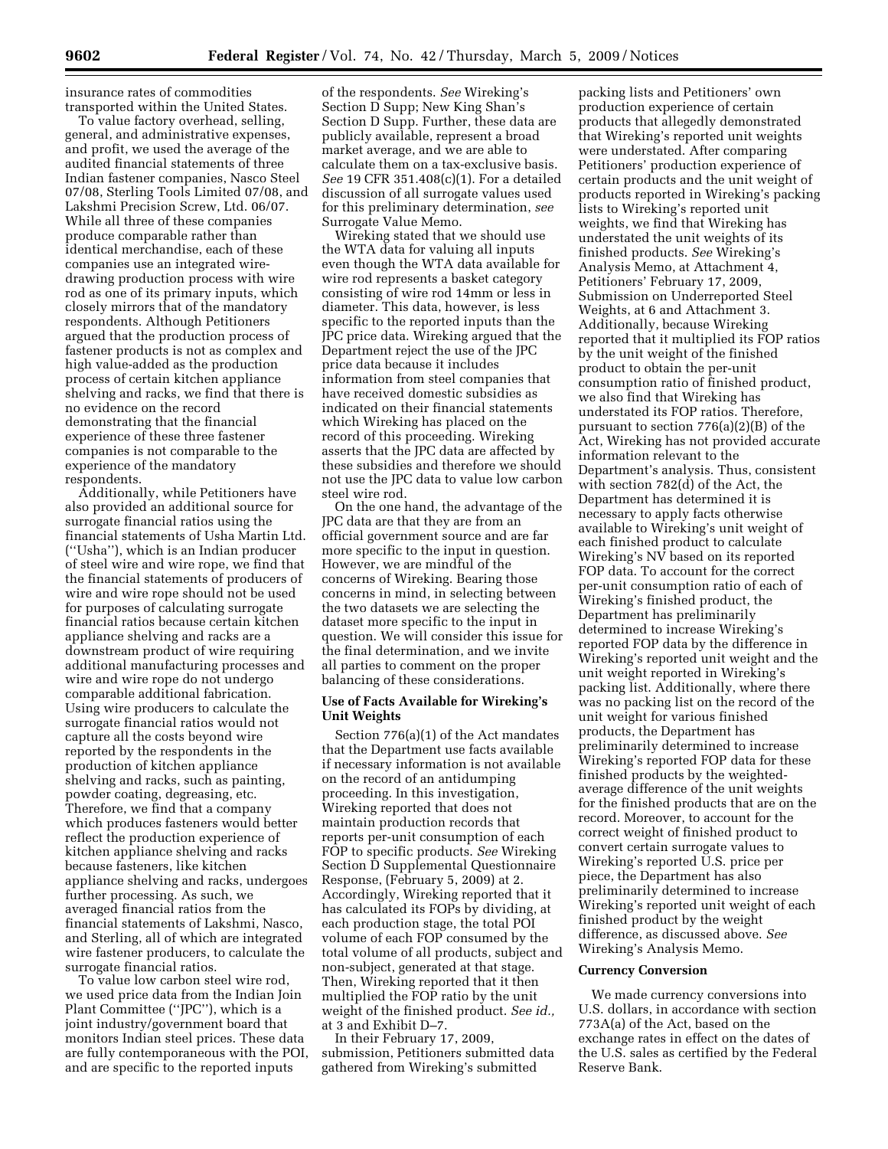insurance rates of commodities transported within the United States.

To value factory overhead, selling, general, and administrative expenses, and profit, we used the average of the audited financial statements of three Indian fastener companies, Nasco Steel 07/08, Sterling Tools Limited 07/08, and Lakshmi Precision Screw, Ltd. 06/07. While all three of these companies produce comparable rather than identical merchandise, each of these companies use an integrated wiredrawing production process with wire rod as one of its primary inputs, which closely mirrors that of the mandatory respondents. Although Petitioners argued that the production process of fastener products is not as complex and high value-added as the production process of certain kitchen appliance shelving and racks, we find that there is no evidence on the record demonstrating that the financial experience of these three fastener companies is not comparable to the experience of the mandatory respondents.

Additionally, while Petitioners have also provided an additional source for surrogate financial ratios using the financial statements of Usha Martin Ltd. (''Usha''), which is an Indian producer of steel wire and wire rope, we find that the financial statements of producers of wire and wire rope should not be used for purposes of calculating surrogate financial ratios because certain kitchen appliance shelving and racks are a downstream product of wire requiring additional manufacturing processes and wire and wire rope do not undergo comparable additional fabrication. Using wire producers to calculate the surrogate financial ratios would not capture all the costs beyond wire reported by the respondents in the production of kitchen appliance shelving and racks, such as painting, powder coating, degreasing, etc. Therefore, we find that a company which produces fasteners would better reflect the production experience of kitchen appliance shelving and racks because fasteners, like kitchen appliance shelving and racks, undergoes further processing. As such, we averaged financial ratios from the financial statements of Lakshmi, Nasco, and Sterling, all of which are integrated wire fastener producers, to calculate the surrogate financial ratios.

To value low carbon steel wire rod, we used price data from the Indian Join Plant Committee (''JPC''), which is a joint industry/government board that monitors Indian steel prices. These data are fully contemporaneous with the POI, and are specific to the reported inputs

of the respondents. *See* Wireking's Section D Supp; New King Shan's Section D Supp. Further, these data are publicly available, represent a broad market average, and we are able to calculate them on a tax-exclusive basis. *See* 19 CFR 351.408(c)(1). For a detailed discussion of all surrogate values used for this preliminary determination, *see*  Surrogate Value Memo.

Wireking stated that we should use the WTA data for valuing all inputs even though the WTA data available for wire rod represents a basket category consisting of wire rod 14mm or less in diameter. This data, however, is less specific to the reported inputs than the JPC price data. Wireking argued that the Department reject the use of the JPC price data because it includes information from steel companies that have received domestic subsidies as indicated on their financial statements which Wireking has placed on the record of this proceeding. Wireking asserts that the JPC data are affected by these subsidies and therefore we should not use the JPC data to value low carbon steel wire rod.

On the one hand, the advantage of the JPC data are that they are from an official government source and are far more specific to the input in question. However, we are mindful of the concerns of Wireking. Bearing those concerns in mind, in selecting between the two datasets we are selecting the dataset more specific to the input in question. We will consider this issue for the final determination, and we invite all parties to comment on the proper balancing of these considerations.

## **Use of Facts Available for Wireking's Unit Weights**

Section 776(a)(1) of the Act mandates that the Department use facts available if necessary information is not available on the record of an antidumping proceeding. In this investigation, Wireking reported that does not maintain production records that reports per-unit consumption of each FOP to specific products. *See* Wireking Section D Supplemental Questionnaire Response, (February 5, 2009) at 2. Accordingly, Wireking reported that it has calculated its FOPs by dividing, at each production stage, the total POI volume of each FOP consumed by the total volume of all products, subject and non-subject, generated at that stage. Then, Wireking reported that it then multiplied the FOP ratio by the unit weight of the finished product. *See id.,*  at 3 and Exhibit D–7.

In their February 17, 2009, submission, Petitioners submitted data gathered from Wireking's submitted

packing lists and Petitioners' own production experience of certain products that allegedly demonstrated that Wireking's reported unit weights were understated. After comparing Petitioners' production experience of certain products and the unit weight of products reported in Wireking's packing lists to Wireking's reported unit weights, we find that Wireking has understated the unit weights of its finished products. *See* Wireking's Analysis Memo, at Attachment 4, Petitioners' February 17, 2009, Submission on Underreported Steel Weights, at 6 and Attachment 3. Additionally, because Wireking reported that it multiplied its FOP ratios by the unit weight of the finished product to obtain the per-unit consumption ratio of finished product, we also find that Wireking has understated its FOP ratios. Therefore, pursuant to section 776(a)(2)(B) of the Act, Wireking has not provided accurate information relevant to the Department's analysis. Thus, consistent with section 782(d) of the Act, the Department has determined it is necessary to apply facts otherwise available to Wireking's unit weight of each finished product to calculate Wireking's NV based on its reported FOP data. To account for the correct per-unit consumption ratio of each of Wireking's finished product, the Department has preliminarily determined to increase Wireking's reported FOP data by the difference in Wireking's reported unit weight and the unit weight reported in Wireking's packing list. Additionally, where there was no packing list on the record of the unit weight for various finished products, the Department has preliminarily determined to increase Wireking's reported FOP data for these finished products by the weightedaverage difference of the unit weights for the finished products that are on the record. Moreover, to account for the correct weight of finished product to convert certain surrogate values to Wireking's reported U.S. price per piece, the Department has also preliminarily determined to increase Wireking's reported unit weight of each finished product by the weight difference, as discussed above. *See*  Wireking's Analysis Memo.

### **Currency Conversion**

We made currency conversions into U.S. dollars, in accordance with section 773A(a) of the Act, based on the exchange rates in effect on the dates of the U.S. sales as certified by the Federal Reserve Bank.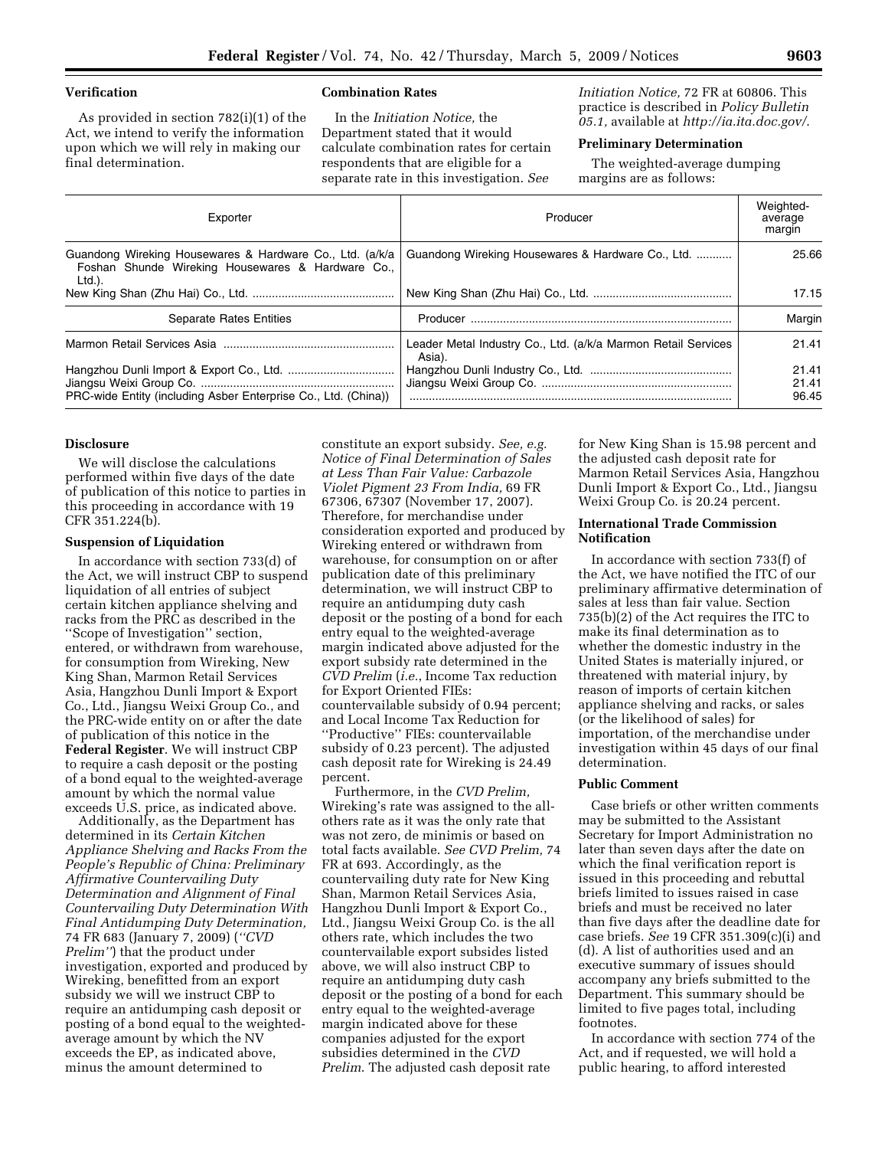## **Verification**

As provided in section 782(i)(1) of the Act, we intend to verify the information upon which we will rely in making our final determination.

### **Combination Rates**

In the *Initiation Notice,* the Department stated that it would calculate combination rates for certain respondents that are eligible for a separate rate in this investigation. *See* 

*Initiation Notice,* 72 FR at 60806. This practice is described in *Policy Bulletin 05.1,* available at *http://ia.ita.doc.gov/*.

## **Preliminary Determination**

The weighted-average dumping margins are as follows:

| Exporter                                                                                                                   | Producer                                                                | Weighted-<br>average<br>margin |
|----------------------------------------------------------------------------------------------------------------------------|-------------------------------------------------------------------------|--------------------------------|
| Guandong Wireking Housewares & Hardware Co., Ltd. (a/k/a<br>Foshan Shunde Wireking Housewares & Hardware Co.,<br>$Ltd.$ ). | Guandong Wireking Housewares & Hardware Co., Ltd.                       | 25.66                          |
|                                                                                                                            |                                                                         | 17.15                          |
| <b>Separate Rates Entities</b>                                                                                             |                                                                         | Margin                         |
|                                                                                                                            | Leader Metal Industry Co., Ltd. (a/k/a Marmon Retail Services<br>Asia). | 21.41                          |
|                                                                                                                            |                                                                         | 21.41                          |
|                                                                                                                            |                                                                         | 21.41                          |
| PRC-wide Entity (including Asber Enterprise Co., Ltd. (China))                                                             |                                                                         | 96.45                          |

### **Disclosure**

We will disclose the calculations performed within five days of the date of publication of this notice to parties in this proceeding in accordance with 19 CFR 351.224(b).

### **Suspension of Liquidation**

In accordance with section 733(d) of the Act, we will instruct CBP to suspend liquidation of all entries of subject certain kitchen appliance shelving and racks from the PRC as described in the ''Scope of Investigation'' section, entered, or withdrawn from warehouse, for consumption from Wireking, New King Shan, Marmon Retail Services Asia, Hangzhou Dunli Import & Export Co., Ltd., Jiangsu Weixi Group Co., and the PRC-wide entity on or after the date of publication of this notice in the **Federal Register**. We will instruct CBP to require a cash deposit or the posting of a bond equal to the weighted-average amount by which the normal value exceeds U.S. price, as indicated above.

Additionally, as the Department has determined in its *Certain Kitchen Appliance Shelving and Racks From the People's Republic of China: Preliminary Affirmative Countervailing Duty Determination and Alignment of Final Countervailing Duty Determination With Final Antidumping Duty Determination,*  74 FR 683 (January 7, 2009) (*''CVD Prelim''*) that the product under investigation, exported and produced by Wireking, benefitted from an export subsidy we will we instruct CBP to require an antidumping cash deposit or posting of a bond equal to the weightedaverage amount by which the NV exceeds the EP, as indicated above, minus the amount determined to

constitute an export subsidy. *See, e.g. Notice of Final Determination of Sales at Less Than Fair Value: Carbazole Violet Pigment 23 From India,* 69 FR 67306, 67307 (November 17, 2007). Therefore, for merchandise under consideration exported and produced by Wireking entered or withdrawn from warehouse, for consumption on or after publication date of this preliminary determination, we will instruct CBP to require an antidumping duty cash deposit or the posting of a bond for each entry equal to the weighted-average margin indicated above adjusted for the export subsidy rate determined in the *CVD Prelim* (*i.e.*, Income Tax reduction for Export Oriented FIEs: countervailable subsidy of 0.94 percent; and Local Income Tax Reduction for ''Productive'' FIEs: countervailable subsidy of 0.23 percent). The adjusted cash deposit rate for Wireking is 24.49 percent.

Furthermore, in the *CVD Prelim,*  Wireking's rate was assigned to the allothers rate as it was the only rate that was not zero, de minimis or based on total facts available. *See CVD Prelim,* 74 FR at 693. Accordingly, as the countervailing duty rate for New King Shan, Marmon Retail Services Asia, Hangzhou Dunli Import & Export Co., Ltd., Jiangsu Weixi Group Co. is the all others rate, which includes the two countervailable export subsides listed above, we will also instruct CBP to require an antidumping duty cash deposit or the posting of a bond for each entry equal to the weighted-average margin indicated above for these companies adjusted for the export subsidies determined in the *CVD Prelim*. The adjusted cash deposit rate

for New King Shan is 15.98 percent and the adjusted cash deposit rate for Marmon Retail Services Asia, Hangzhou Dunli Import & Export Co., Ltd., Jiangsu Weixi Group Co. is 20.24 percent.

## **International Trade Commission Notification**

In accordance with section 733(f) of the Act, we have notified the ITC of our preliminary affirmative determination of sales at less than fair value. Section 735(b)(2) of the Act requires the ITC to make its final determination as to whether the domestic industry in the United States is materially injured, or threatened with material injury, by reason of imports of certain kitchen appliance shelving and racks, or sales (or the likelihood of sales) for importation, of the merchandise under investigation within 45 days of our final determination.

## **Public Comment**

Case briefs or other written comments may be submitted to the Assistant Secretary for Import Administration no later than seven days after the date on which the final verification report is issued in this proceeding and rebuttal briefs limited to issues raised in case briefs and must be received no later than five days after the deadline date for case briefs. *See* 19 CFR 351.309(c)(i) and (d). A list of authorities used and an executive summary of issues should accompany any briefs submitted to the Department. This summary should be limited to five pages total, including footnotes.

In accordance with section 774 of the Act, and if requested, we will hold a public hearing, to afford interested